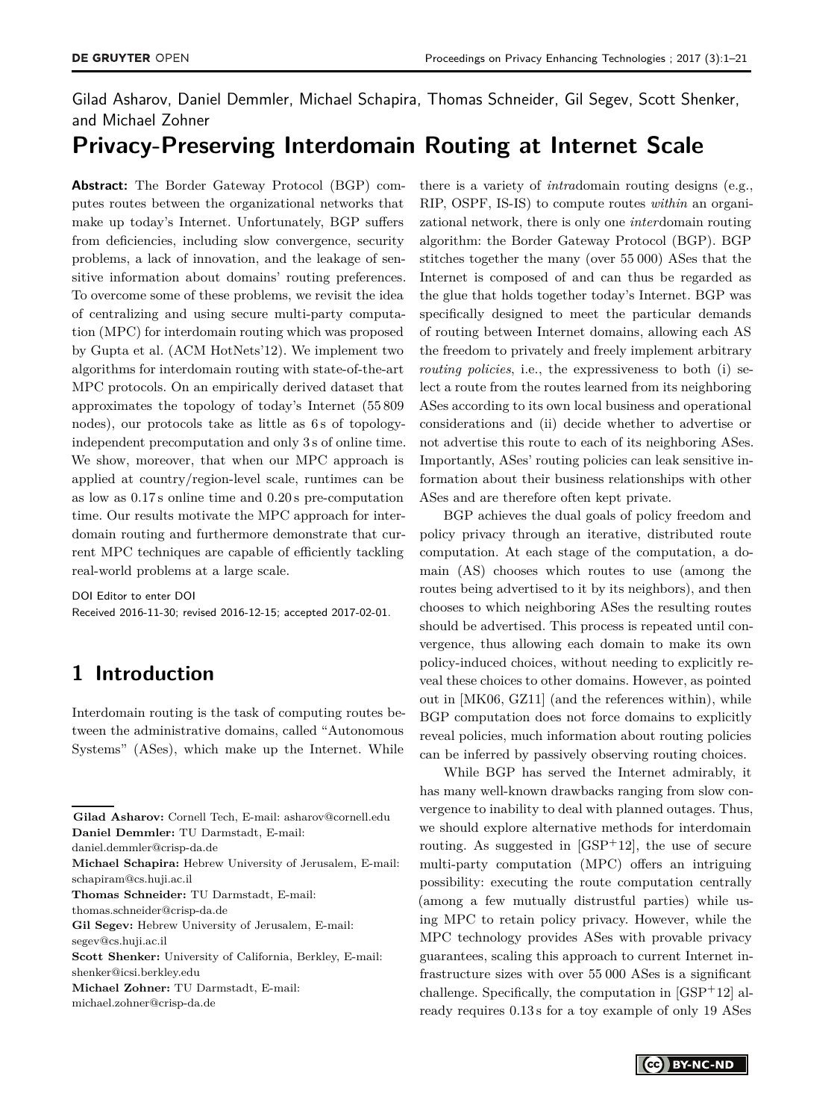Gilad Asharov, Daniel Demmler, Michael Schapira, Thomas Schneider, Gil Segev, Scott Shenker, and Michael Zohner

# **Privacy-Preserving Interdomain Routing at Internet Scale**

**Abstract:** The Border Gateway Protocol (BGP) computes routes between the organizational networks that make up today's Internet. Unfortunately, BGP suffers from deficiencies, including slow convergence, security problems, a lack of innovation, and the leakage of sensitive information about domains' routing preferences. To overcome some of these problems, we revisit the idea of centralizing and using secure multi-party computation (MPC) for interdomain routing which was proposed by Gupta et al. (ACM HotNets'12). We implement two algorithms for interdomain routing with state-of-the-art MPC protocols. On an empirically derived dataset that approximates the topology of today's Internet (55 809 nodes), our protocols take as little as 6s of topologyindependent precomputation and only 3 s of online time. We show, moreover, that when our MPC approach is applied at country/region-level scale, runtimes can be as low as 0.17 s online time and 0.20 s pre-computation time. Our results motivate the MPC approach for interdomain routing and furthermore demonstrate that current MPC techniques are capable of efficiently tackling real-world problems at a large scale.

DOI Editor to enter DOI Received 2016-11-30; revised 2016-12-15; accepted 2017-02-01.

## **1 Introduction**

Interdomain routing is the task of computing routes between the administrative domains, called "Autonomous Systems" (ASes), which make up the Internet. While

**Michael Schapira:** Hebrew University of Jerusalem, E-mail: schapiram@cs.huji.ac.il

**Thomas Schneider:** TU Darmstadt, E-mail:

thomas.schneider@crisp-da.de

**Gil Segev:** Hebrew University of Jerusalem, E-mail:

segev@cs.huji.ac.il

**Scott Shenker:** University of California, Berkley, E-mail: shenker@icsi.berkley.edu

**Michael Zohner:** TU Darmstadt, E-mail: michael.zohner@crisp-da.de

there is a variety of *intra*domain routing designs (e.g., RIP, OSPF, IS-IS) to compute routes *within* an organizational network, there is only one *inter*domain routing algorithm: the Border Gateway Protocol (BGP). BGP stitches together the many (over 55 000) ASes that the Internet is composed of and can thus be regarded as the glue that holds together today's Internet. BGP was specifically designed to meet the particular demands of routing between Internet domains, allowing each AS the freedom to privately and freely implement arbitrary *routing policies*, i.e., the expressiveness to both (i) select a route from the routes learned from its neighboring ASes according to its own local business and operational considerations and (ii) decide whether to advertise or not advertise this route to each of its neighboring ASes. Importantly, ASes' routing policies can leak sensitive information about their business relationships with other ASes and are therefore often kept private.

BGP achieves the dual goals of policy freedom and policy privacy through an iterative, distributed route computation. At each stage of the computation, a domain (AS) chooses which routes to use (among the routes being advertised to it by its neighbors), and then chooses to which neighboring ASes the resulting routes should be advertised. This process is repeated until convergence, thus allowing each domain to make its own policy-induced choices, without needing to explicitly reveal these choices to other domains. However, as pointed out in [\[MK06,](#page-17-0) [GZ11\]](#page-16-0) (and the references within), while BGP computation does not force domains to explicitly reveal policies, much information about routing policies can be inferred by passively observing routing choices.

While BGP has served the Internet admirably, it has many well-known drawbacks ranging from slow convergence to inability to deal with planned outages. Thus, we should explore alternative methods for interdomain routing. As suggested in  $[GSP<sup>+</sup>12]$  $[GSP<sup>+</sup>12]$ , the use of secure multi-party computation (MPC) offers an intriguing possibility: executing the route computation centrally (among a few mutually distrustful parties) while using MPC to retain policy privacy. However, while the MPC technology provides ASes with provable privacy guarantees, scaling this approach to current Internet infrastructure sizes with over 55 000 ASes is a significant challenge. Specifically, the computation in  $[GSP<sup>+</sup>12]$  $[GSP<sup>+</sup>12]$  already requires 0.13 s for a toy example of only 19 ASes

**Gilad Asharov:** Cornell Tech, E-mail: asharov@cornell.edu **Daniel Demmler:** TU Darmstadt, E-mail:

daniel.demmler@crisp-da.de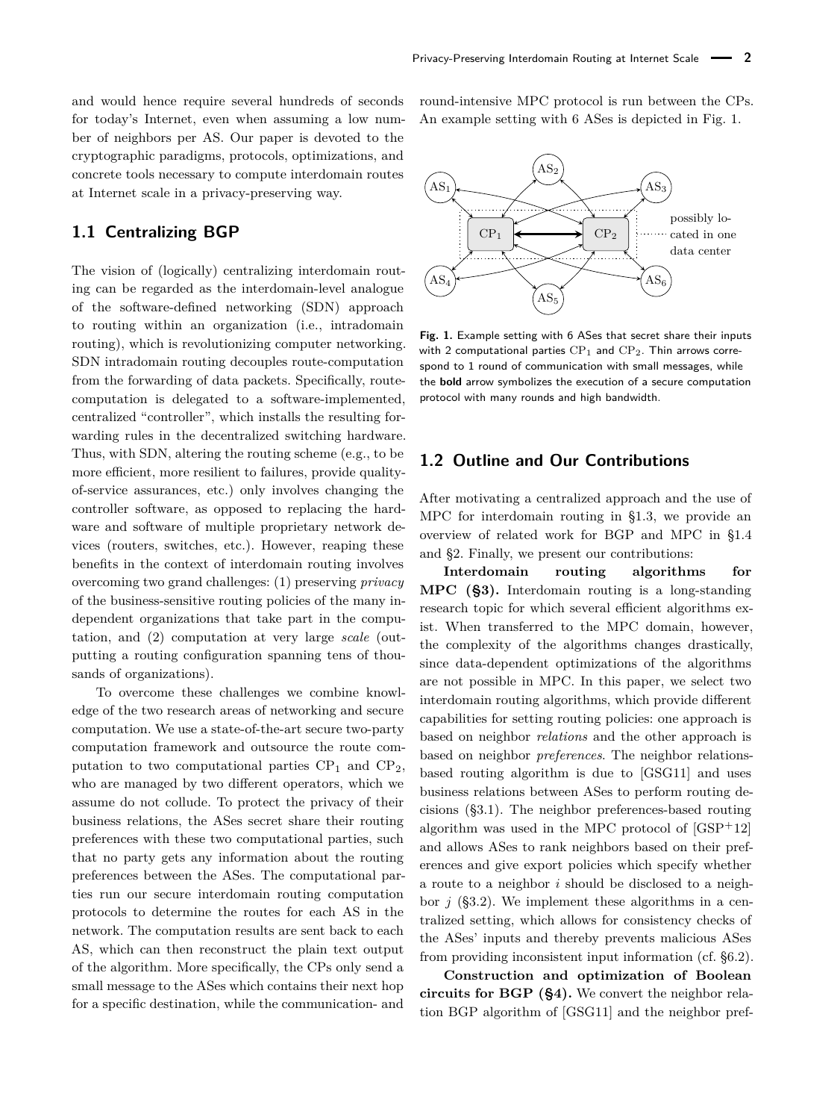and would hence require several hundreds of seconds for today's Internet, even when assuming a low number of neighbors per AS. Our paper is devoted to the cryptographic paradigms, protocols, optimizations, and concrete tools necessary to compute interdomain routes at Internet scale in a privacy-preserving way.

### **1.1 Centralizing BGP**

The vision of (logically) centralizing interdomain routing can be regarded as the interdomain-level analogue of the software-defined networking (SDN) approach to routing within an organization (i.e., intradomain routing), which is revolutionizing computer networking. SDN intradomain routing decouples route-computation from the forwarding of data packets. Specifically, routecomputation is delegated to a software-implemented, centralized "controller", which installs the resulting forwarding rules in the decentralized switching hardware. Thus, with SDN, altering the routing scheme (e.g., to be more efficient, more resilient to failures, provide qualityof-service assurances, etc.) only involves changing the controller software, as opposed to replacing the hardware and software of multiple proprietary network devices (routers, switches, etc.). However, reaping these benefits in the context of interdomain routing involves overcoming two grand challenges: (1) preserving *privacy* of the business-sensitive routing policies of the many independent organizations that take part in the computation, and (2) computation at very large *scale* (outputting a routing configuration spanning tens of thousands of organizations).

To overcome these challenges we combine knowledge of the two research areas of networking and secure computation. We use a state-of-the-art secure two-party computation framework and outsource the route computation to two computational parties  $\text{CP}_1$  and  $\text{CP}_2$ , who are managed by two different operators, which we assume do not collude. To protect the privacy of their business relations, the ASes secret share their routing preferences with these two computational parties, such that no party gets any information about the routing preferences between the ASes. The computational parties run our secure interdomain routing computation protocols to determine the routes for each AS in the network. The computation results are sent back to each AS, which can then reconstruct the plain text output of the algorithm. More specifically, the CPs only send a small message to the ASes which contains their next hop for a specific destination, while the communication- and round-intensive MPC protocol is run between the CPs. An example setting with 6 ASes is depicted in Fig. [1.](#page-1-0)

<span id="page-1-0"></span>

**Fig. 1.** Example setting with 6 ASes that secret share their inputs with 2 computational parties  $\text{CP}_1$  and  $\text{CP}_2$ . Thin arrows correspond to 1 round of communication with small messages, while the **bold** arrow symbolizes the execution of a secure computation protocol with many rounds and high bandwidth.

### **1.2 Outline and Our Contributions**

After motivating a centralized approach and the use of MPC for interdomain routing in [§1.3,](#page-2-0) we provide an overview of related work for BGP and MPC in [§1.4](#page-3-0) and [§2.](#page-4-0) Finally, we present our contributions:

**Interdomain routing algorithms for MPC ([§3\)](#page-6-0).** Interdomain routing is a long-standing research topic for which several efficient algorithms exist. When transferred to the MPC domain, however, the complexity of the algorithms changes drastically, since data-dependent optimizations of the algorithms are not possible in MPC. In this paper, we select two interdomain routing algorithms, which provide different capabilities for setting routing policies: one approach is based on neighbor *relations* and the other approach is based on neighbor *preferences*. The neighbor relationsbased routing algorithm is due to [\[GSG11\]](#page-16-2) and uses business relations between ASes to perform routing decisions ([§3.1\)](#page-6-1). The neighbor preferences-based routing algorithm was used in the MPC protocol of  $[GSP<sup>+</sup>12]$  $[GSP<sup>+</sup>12]$ and allows ASes to rank neighbors based on their preferences and give export policies which specify whether a route to a neighbor *i* should be disclosed to a neighbor *j* ([§3.2\)](#page-7-0). We implement these algorithms in a centralized setting, which allows for consistency checks of the ASes' inputs and thereby prevents malicious ASes from providing inconsistent input information (cf. [§6.2\)](#page-14-0).

**Construction and optimization of Boolean circuits for BGP ([§4\)](#page-8-0).** We convert the neighbor relation BGP algorithm of [\[GSG11\]](#page-16-2) and the neighbor pref-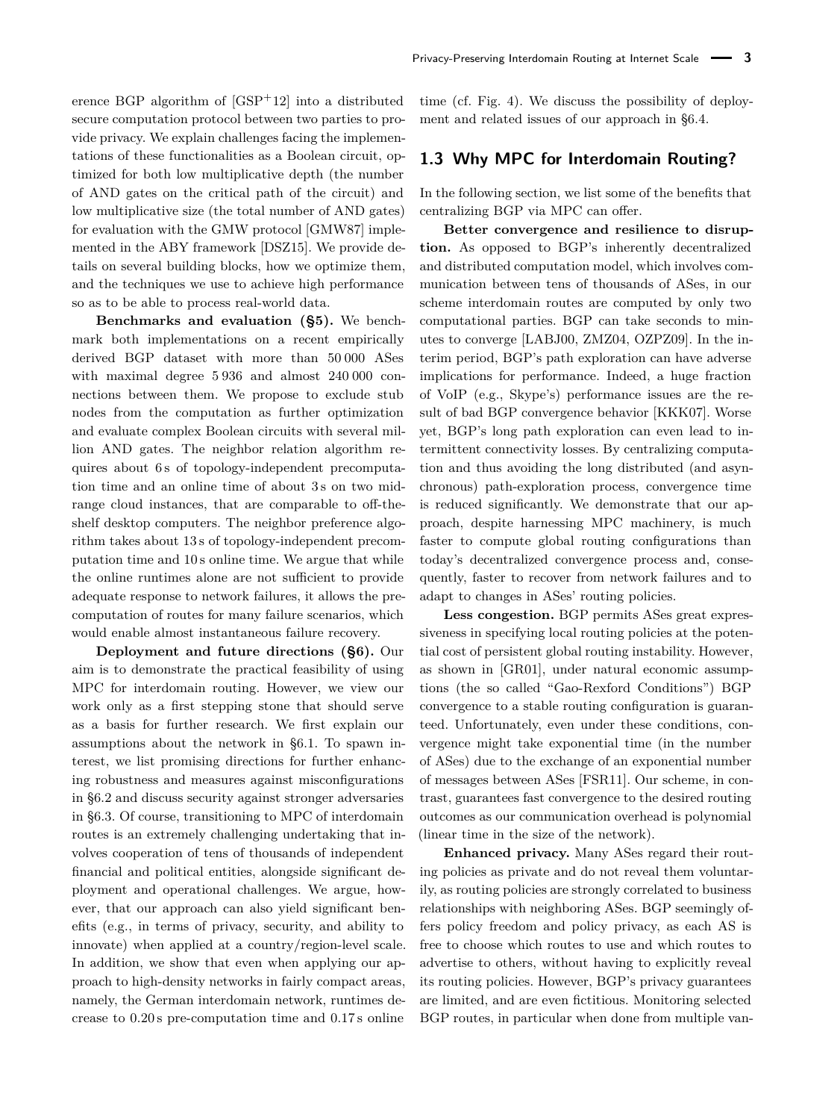erence BGP algorithm of  $[GSP<sup>+</sup>12]$  $[GSP<sup>+</sup>12]$  into a distributed secure computation protocol between two parties to provide privacy. We explain challenges facing the implementations of these functionalities as a Boolean circuit, optimized for both low multiplicative depth (the number of AND gates on the critical path of the circuit) and low multiplicative size (the total number of AND gates) for evaluation with the GMW protocol [\[GMW87\]](#page-16-3) implemented in the ABY framework [\[DSZ15\]](#page-16-4). We provide details on several building blocks, how we optimize them, and the techniques we use to achieve high performance so as to be able to process real-world data.

**Benchmarks and evaluation ([§5\)](#page-12-0).** We benchmark both implementations on a recent empirically derived BGP dataset with more than 50 000 ASes with maximal degree 5 936 and almost 240 000 connections between them. We propose to exclude stub nodes from the computation as further optimization and evaluate complex Boolean circuits with several million AND gates. The neighbor relation algorithm requires about 6s of topology-independent precomputation time and an online time of about 3s on two midrange cloud instances, that are comparable to off-theshelf desktop computers. The neighbor preference algorithm takes about 13 s of topology-independent precomputation time and 10 s online time. We argue that while the online runtimes alone are not sufficient to provide adequate response to network failures, it allows the precomputation of routes for many failure scenarios, which would enable almost instantaneous failure recovery.

**Deployment and future directions ([§6\)](#page-13-0).** Our aim is to demonstrate the practical feasibility of using MPC for interdomain routing. However, we view our work only as a first stepping stone that should serve as a basis for further research. We first explain our assumptions about the network in [§6.1.](#page-13-1) To spawn interest, we list promising directions for further enhancing robustness and measures against misconfigurations in [§6.2](#page-14-0) and discuss security against stronger adversaries in [§6.3.](#page-14-1) Of course, transitioning to MPC of interdomain routes is an extremely challenging undertaking that involves cooperation of tens of thousands of independent financial and political entities, alongside significant deployment and operational challenges. We argue, however, that our approach can also yield significant benefits (e.g., in terms of privacy, security, and ability to innovate) when applied at a country/region-level scale. In addition, we show that even when applying our approach to high-density networks in fairly compact areas, namely, the German interdomain network, runtimes decrease to 0.20 s pre-computation time and 0.17 s online

time (cf. Fig. [4\)](#page-13-2). We discuss the possibility of deployment and related issues of our approach in [§6.4.](#page-14-2)

### <span id="page-2-0"></span>**1.3 Why MPC for Interdomain Routing?**

In the following section, we list some of the benefits that centralizing BGP via MPC can offer.

**Better convergence and resilience to disruption.** As opposed to BGP's inherently decentralized and distributed computation model, which involves communication between tens of thousands of ASes, in our scheme interdomain routes are computed by only two computational parties. BGP can take seconds to minutes to converge [\[LABJ00,](#page-16-5) [ZMZ04,](#page-17-1) [OZPZ09\]](#page-17-2). In the interim period, BGP's path exploration can have adverse implications for performance. Indeed, a huge fraction of VoIP (e.g., Skype's) performance issues are the result of bad BGP convergence behavior [\[KKK07\]](#page-16-6). Worse yet, BGP's long path exploration can even lead to intermittent connectivity losses. By centralizing computation and thus avoiding the long distributed (and asynchronous) path-exploration process, convergence time is reduced significantly. We demonstrate that our approach, despite harnessing MPC machinery, is much faster to compute global routing configurations than today's decentralized convergence process and, consequently, faster to recover from network failures and to adapt to changes in ASes' routing policies.

**Less congestion.** BGP permits ASes great expressiveness in specifying local routing policies at the potential cost of persistent global routing instability. However, as shown in [\[GR01\]](#page-16-7), under natural economic assumptions (the so called "Gao-Rexford Conditions") BGP convergence to a stable routing configuration is guaranteed. Unfortunately, even under these conditions, convergence might take exponential time (in the number of ASes) due to the exchange of an exponential number of messages between ASes [\[FSR11\]](#page-16-8). Our scheme, in contrast, guarantees fast convergence to the desired routing outcomes as our communication overhead is polynomial (linear time in the size of the network).

**Enhanced privacy.** Many ASes regard their routing policies as private and do not reveal them voluntarily, as routing policies are strongly correlated to business relationships with neighboring ASes. BGP seemingly offers policy freedom and policy privacy, as each AS is free to choose which routes to use and which routes to advertise to others, without having to explicitly reveal its routing policies. However, BGP's privacy guarantees are limited, and are even fictitious. Monitoring selected BGP routes, in particular when done from multiple van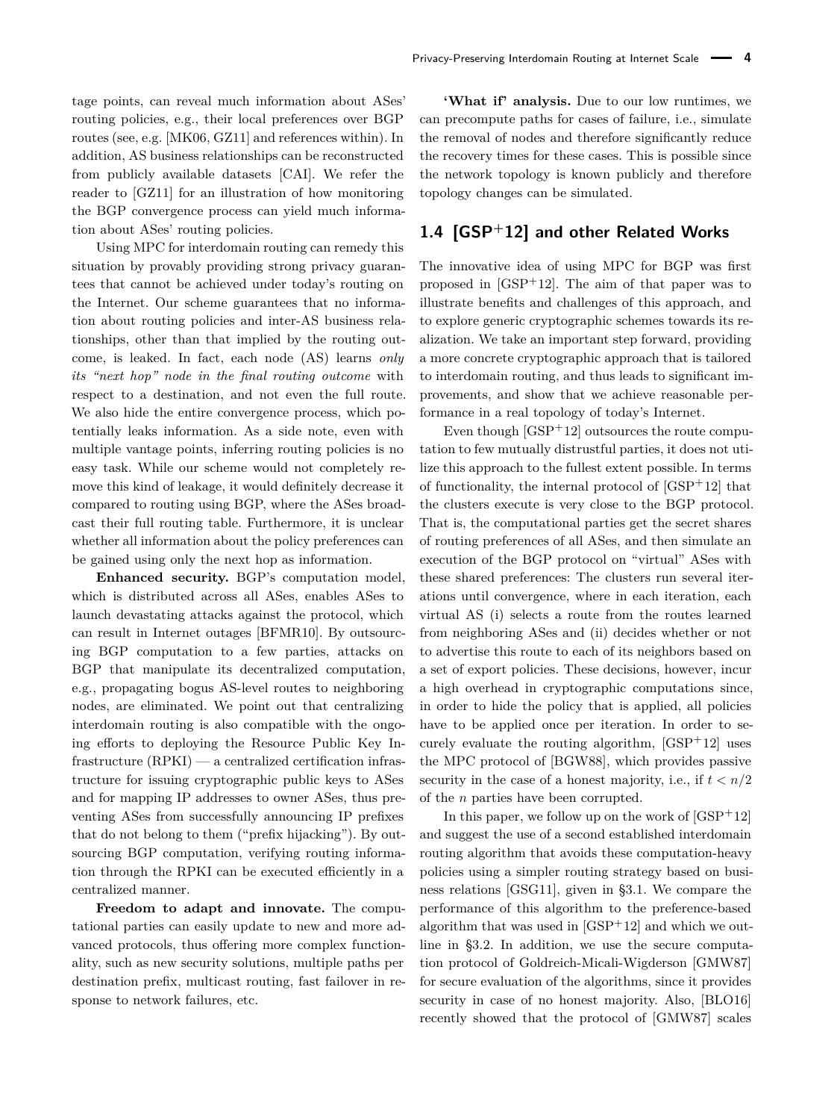tage points, can reveal much information about ASes' routing policies, e.g., their local preferences over BGP routes (see, e.g. [MK06, GZ11] and references within). In addition, AS business relationships can be reconstructed from publicly available datasets [CAI]. We refer the reader to [\[GZ11\]](#page-16-0) for an illustration of how monitoring the BGP convergence process can yield much information about ASes' routing policies.

Using MPC for interdomain routing can remedy this situation by provably providing strong privacy guarantees that cannot be achieved under today's routing on the Internet. Our scheme guarantees that no information about routing policies and inter-AS business relationships, other than that implied by the routing outcome, is leaked. In fact, each node (AS) learns *only its "next hop" node in the final routing outcome* with respect to a destination, and not even the full route. We also hide the entire convergence process, which potentially leaks information. As a side note, even with multiple vantage points, inferring routing policies is no easy task. While our scheme would not completely remove this kind of leakage, it would definitely decrease it compared to routing using BGP, where the ASes broadcast their full routing table. Furthermore, it is unclear whether all information about the policy preferences can be gained using only the next hop as information.

**Enhanced security.** BGP's computation model, which is distributed across all ASes, enables ASes to launch devastating attacks against the protocol, which can result in Internet outages [\[BFMR10\]](#page-16-9). By outsourcing BGP computation to a few parties, attacks on BGP that manipulate its decentralized computation, e.g., propagating bogus AS-level routes to neighboring nodes, are eliminated. We point out that centralizing interdomain routing is also compatible with the ongoing efforts to deploying the Resource Public Key Infrastructure (RPKI) — a centralized certification infrastructure for issuing cryptographic public keys to ASes and for mapping IP addresses to owner ASes, thus preventing ASes from successfully announcing IP prefixes that do not belong to them ("prefix hijacking"). By outsourcing BGP computation, verifying routing information through the RPKI can be executed efficiently in a centralized manner.

**Freedom to adapt and innovate.** The computational parties can easily update to new and more advanced protocols, thus offering more complex functionality, such as new security solutions, multiple paths per destination prefix, multicast routing, fast failover in response to network failures, etc.

**'What if' analysis.** Due to our low runtimes, we can precompute paths for cases of failure, i.e., simulate the removal of nodes and therefore significantly reduce the recovery times for these cases. This is possible since the network topology is known publicly and therefore topology changes can be simulated.

## <span id="page-3-0"></span>**1.4 [\[GSP](#page-16-1)<sup>+</sup>12] and other Related Works**

The innovative idea of using MPC for BGP was first proposed in  $[GSP<sup>+</sup>12]$  $[GSP<sup>+</sup>12]$ . The aim of that paper was to illustrate benefits and challenges of this approach, and to explore generic cryptographic schemes towards its realization. We take an important step forward, providing a more concrete cryptographic approach that is tailored to interdomain routing, and thus leads to significant improvements, and show that we achieve reasonable performance in a real topology of today's Internet.

Even though  $[GSP<sup>+</sup>12]$  $[GSP<sup>+</sup>12]$  outsources the route computation to few mutually distrustful parties, it does not utilize this approach to the fullest extent possible. In terms of functionality, the internal protocol of  $[GSP<sup>+</sup>12]$  $[GSP<sup>+</sup>12]$  that the clusters execute is very close to the BGP protocol. That is, the computational parties get the secret shares of routing preferences of all ASes, and then simulate an execution of the BGP protocol on "virtual" ASes with these shared preferences: The clusters run several iterations until convergence, where in each iteration, each virtual AS (i) selects a route from the routes learned from neighboring ASes and (ii) decides whether or not to advertise this route to each of its neighbors based on a set of export policies. These decisions, however, incur a high overhead in cryptographic computations since, in order to hide the policy that is applied, all policies have to be applied once per iteration. In order to securely evaluate the routing algorithm,  $[GSP<sup>+</sup>12]$  $[GSP<sup>+</sup>12]$  uses the MPC protocol of [\[BGW88\]](#page-16-10), which provides passive security in the case of a honest majority, i.e., if  $t < n/2$ of the *n* parties have been corrupted.

In this paper, we follow up on the work of  $[GSP<sup>+</sup>12]$  $[GSP<sup>+</sup>12]$ and suggest the use of a second established interdomain routing algorithm that avoids these computation-heavy policies using a simpler routing strategy based on business relations [\[GSG11\]](#page-16-2), given in [§3.1.](#page-6-1) We compare the performance of this algorithm to the preference-based algorithm that was used in  $[GSP<sup>+</sup>12]$  $[GSP<sup>+</sup>12]$  and which we outline in [§3.2.](#page-7-0) In addition, we use the secure computation protocol of Goldreich-Micali-Wigderson [\[GMW87\]](#page-16-3) for secure evaluation of the algorithms, since it provides security in case of no honest majority. Also, [\[BLO16\]](#page-16-11) recently showed that the protocol of [\[GMW87\]](#page-16-3) scales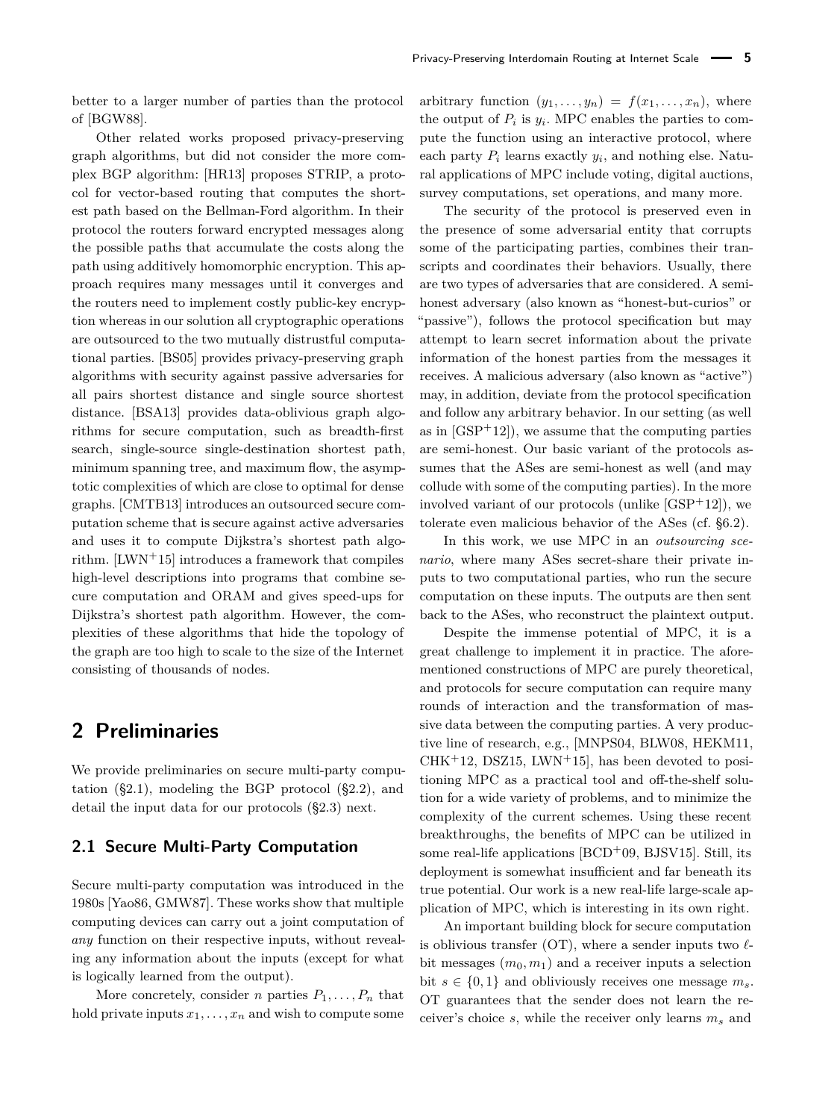better to a larger number of parties than the protocol of [\[BGW88\]](#page-16-10).

Other related works proposed privacy-preserving graph algorithms, but did not consider the more complex BGP algorithm: [\[HR13\]](#page-16-12) proposes STRIP, a protocol for vector-based routing that computes the shortest path based on the Bellman-Ford algorithm. In their protocol the routers forward encrypted messages along the possible paths that accumulate the costs along the path using additively homomorphic encryption. This approach requires many messages until it converges and the routers need to implement costly public-key encryption whereas in our solution all cryptographic operations are outsourced to the two mutually distrustful computational parties. [\[BS05\]](#page-16-13) provides privacy-preserving graph algorithms with security against passive adversaries for all pairs shortest distance and single source shortest distance. [\[BSA13\]](#page-16-14) provides data-oblivious graph algorithms for secure computation, such as breadth-first search, single-source single-destination shortest path, minimum spanning tree, and maximum flow, the asymptotic complexities of which are close to optimal for dense graphs. [\[CMTB13\]](#page-16-15) introduces an outsourced secure computation scheme that is secure against active adversaries and uses it to compute Dijkstra's shortest path algorithm.  $[LWN+15]$  $[LWN+15]$  introduces a framework that compiles high-level descriptions into programs that combine secure computation and ORAM and gives speed-ups for Dijkstra's shortest path algorithm. However, the complexities of these algorithms that hide the topology of the graph are too high to scale to the size of the Internet consisting of thousands of nodes.

## <span id="page-4-0"></span>**2 Preliminaries**

We provide preliminaries on secure multi-party computation  $(\S2.1)$ , modeling the BGP protocol  $(\S2.2)$ , and detail the input data for our protocols ([§2.3\)](#page-6-2) next.

### <span id="page-4-1"></span>**2.1 Secure Multi-Party Computation**

Secure multi-party computation was introduced in the 1980s [\[Yao86,](#page-17-4) [GMW87\]](#page-16-3). These works show that multiple computing devices can carry out a joint computation of *any* function on their respective inputs, without revealing any information about the inputs (except for what is logically learned from the output).

More concretely, consider *n* parties  $P_1, \ldots, P_n$  that hold private inputs  $x_1, \ldots, x_n$  and wish to compute some

arbitrary function  $(y_1, \ldots, y_n) = f(x_1, \ldots, x_n)$ , where the output of  $P_i$  is  $y_i$ . MPC enables the parties to compute the function using an interactive protocol, where each party  $P_i$  learns exactly  $y_i$ , and nothing else. Natural applications of MPC include voting, digital auctions, survey computations, set operations, and many more.

The security of the protocol is preserved even in the presence of some adversarial entity that corrupts some of the participating parties, combines their transcripts and coordinates their behaviors. Usually, there are two types of adversaries that are considered. A semihonest adversary (also known as "honest-but-curios" or "passive"), follows the protocol specification but may attempt to learn secret information about the private information of the honest parties from the messages it receives. A malicious adversary (also known as "active") may, in addition, deviate from the protocol specification and follow any arbitrary behavior. In our setting (as well as in  $[GSP<sup>+</sup>12]$  $[GSP<sup>+</sup>12]$ , we assume that the computing parties are semi-honest. Our basic variant of the protocols assumes that the ASes are semi-honest as well (and may collude with some of the computing parties). In the more involved variant of our protocols (unlike  $[GSP<sup>+</sup>12]$  $[GSP<sup>+</sup>12]$ ), we tolerate even malicious behavior of the ASes (cf. [§6.2\)](#page-14-0).

In this work, we use MPC in an *outsourcing scenario*, where many ASes secret-share their private inputs to two computational parties, who run the secure computation on these inputs. The outputs are then sent back to the ASes, who reconstruct the plaintext output.

Despite the immense potential of MPC, it is a great challenge to implement it in practice. The aforementioned constructions of MPC are purely theoretical, and protocols for secure computation can require many rounds of interaction and the transformation of massive data between the computing parties. A very productive line of research, e.g., [\[MNPS04,](#page-17-5) [BLW08,](#page-16-16) [HEKM11,](#page-16-17)  $CHK<sup>+</sup>12$  $CHK<sup>+</sup>12$ , [DSZ15,](#page-16-4) [LWN](#page-17-3)<sup>+</sup>15], has been devoted to positioning MPC as a practical tool and off-the-shelf solution for a wide variety of problems, and to minimize the complexity of the current schemes. Using these recent breakthroughs, the benefits of MPC can be utilized in some real-life applications  $[BCD<sup>+</sup>09, BJSV15]$  $[BCD<sup>+</sup>09, BJSV15]$  $[BCD<sup>+</sup>09, BJSV15]$ . Still, its deployment is somewhat insufficient and far beneath its true potential. Our work is a new real-life large-scale application of MPC, which is interesting in its own right.

An important building block for secure computation is oblivious transfer (OT), where a sender inputs two  $\ell$ bit messages  $(m_0, m_1)$  and a receiver inputs a selection bit  $s \in \{0, 1\}$  and obliviously receives one message  $m_s$ . OT guarantees that the sender does not learn the receiver's choice *s*, while the receiver only learns *m<sup>s</sup>* and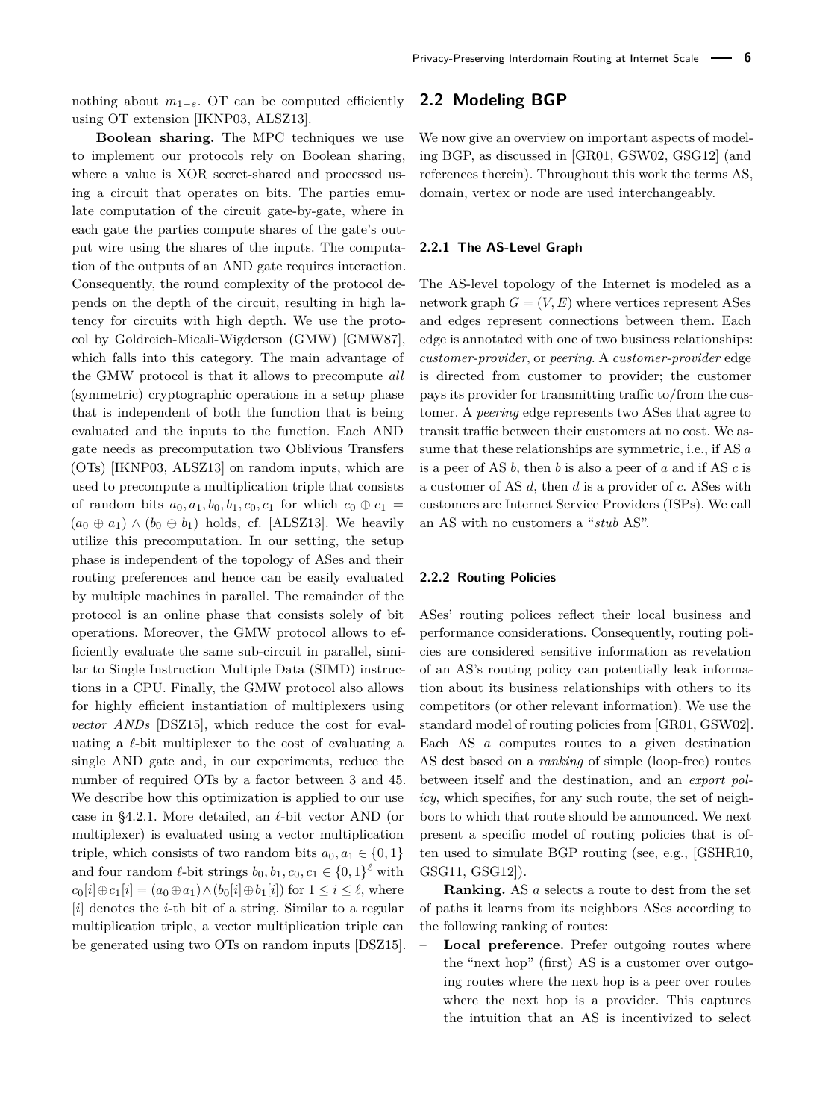nothing about  $m_{1-s}$ . OT can be computed efficiently using OT extension [\[IKNP03,](#page-16-20) [ALSZ13\]](#page-15-1).

**Boolean sharing.** The MPC techniques we use to implement our protocols rely on Boolean sharing, where a value is XOR secret-shared and processed using a circuit that operates on bits. The parties emulate computation of the circuit gate-by-gate, where in each gate the parties compute shares of the gate's output wire using the shares of the inputs. The computation of the outputs of an AND gate requires interaction. Consequently, the round complexity of the protocol depends on the depth of the circuit, resulting in high latency for circuits with high depth. We use the protocol by Goldreich-Micali-Wigderson (GMW) [\[GMW87\]](#page-16-3), which falls into this category. The main advantage of the GMW protocol is that it allows to precompute *all* (symmetric) cryptographic operations in a setup phase that is independent of both the function that is being evaluated and the inputs to the function. Each AND gate needs as precomputation two Oblivious Transfers (OTs) [\[IKNP03,](#page-16-20) [ALSZ13\]](#page-15-1) on random inputs, which are used to precompute a multiplication triple that consists of random bits  $a_0, a_1, b_0, b_1, c_0, c_1$  for which  $c_0 \oplus c_1 =$  $(a_0 \oplus a_1) \wedge (b_0 \oplus b_1)$  holds, cf. [\[ALSZ13\]](#page-15-1). We heavily utilize this precomputation. In our setting, the setup phase is independent of the topology of ASes and their routing preferences and hence can be easily evaluated by multiple machines in parallel. The remainder of the protocol is an online phase that consists solely of bit operations. Moreover, the GMW protocol allows to efficiently evaluate the same sub-circuit in parallel, similar to Single Instruction Multiple Data (SIMD) instructions in a CPU. Finally, the GMW protocol also allows for highly efficient instantiation of multiplexers using *vector ANDs* [\[DSZ15\]](#page-16-4), which reduce the cost for evaluating a  $\ell$ -bit multiplexer to the cost of evaluating a single AND gate and, in our experiments, reduce the number of required OTs by a factor between 3 and 45. We describe how this optimization is applied to our use case in  $\S 4.2.1$ . More detailed, an  $\ell$ -bit vector AND (or multiplexer) is evaluated using a vector multiplication triple, which consists of two random bits  $a_0, a_1 \in \{0, 1\}$ and four random  $\ell$ -bit strings  $b_0, b_1, c_0, c_1 \in \{0, 1\}^{\ell}$  with  $c_0[i] \oplus c_1[i] = (a_0 \oplus a_1) \wedge (b_0[i] \oplus b_1[i])$  for  $1 \leq i \leq \ell$ , where [*i*] denotes the *i*-th bit of a string. Similar to a regular multiplication triple, a vector multiplication triple can be generated using two OTs on random inputs [\[DSZ15\]](#page-16-4).

### <span id="page-5-0"></span>**2.2 Modeling BGP**

We now give an overview on important aspects of modeling BGP, as discussed in [\[GR01,](#page-16-7) [GSW02,](#page-16-21) [GSG12\]](#page-16-22) (and references therein). Throughout this work the terms AS, domain, vertex or node are used interchangeably.

#### **2.2.1 The AS-Level Graph**

The AS-level topology of the Internet is modeled as a network graph  $G = (V, E)$  where vertices represent ASes and edges represent connections between them. Each edge is annotated with one of two business relationships: *customer-provider*, or *peering*. A *customer-provider* edge is directed from customer to provider; the customer pays its provider for transmitting traffic to/from the customer. A *peering* edge represents two ASes that agree to transit traffic between their customers at no cost. We assume that these relationships are symmetric, i.e., if AS *a* is a peer of AS *b*, then *b* is also a peer of *a* and if AS *c* is a customer of AS *d*, then *d* is a provider of *c*. ASes with customers are Internet Service Providers (ISPs). We call an AS with no customers a "*stub* AS".

#### <span id="page-5-1"></span>**2.2.2 Routing Policies**

ASes' routing polices reflect their local business and performance considerations. Consequently, routing policies are considered sensitive information as revelation of an AS's routing policy can potentially leak information about its business relationships with others to its competitors (or other relevant information). We use the standard model of routing policies from [\[GR01,](#page-16-7) [GSW02\]](#page-16-21). Each AS *a* computes routes to a given destination AS dest based on a *ranking* of simple (loop-free) routes between itself and the destination, and an *export policy*, which specifies, for any such route, the set of neighbors to which that route should be announced. We next present a specific model of routing policies that is often used to simulate BGP routing (see, e.g., [\[GSHR10,](#page-16-23) [GSG11,](#page-16-2) [GSG12\]](#page-16-22)).

**Ranking.** AS *a* selects a route to dest from the set of paths it learns from its neighbors ASes according to the following ranking of routes:

Local preference. Prefer outgoing routes where the "next hop" (first) AS is a customer over outgoing routes where the next hop is a peer over routes where the next hop is a provider. This captures the intuition that an AS is incentivized to select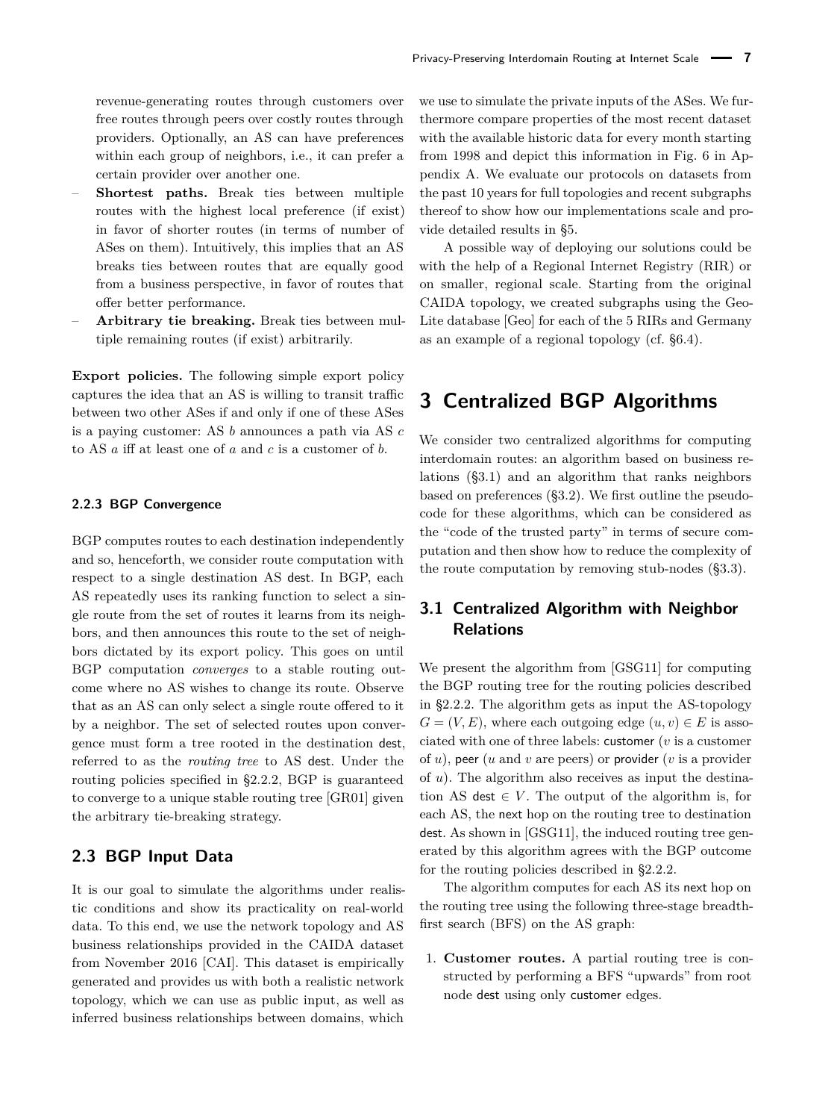revenue-generating routes through customers over free routes through peers over costly routes through providers. Optionally, an AS can have preferences within each group of neighbors, i.e., it can prefer a certain provider over another one.

- **Shortest paths.** Break ties between multiple routes with the highest local preference (if exist) in favor of shorter routes (in terms of number of ASes on them). Intuitively, this implies that an AS breaks ties between routes that are equally good from a business perspective, in favor of routes that offer better performance.
- **Arbitrary tie breaking.** Break ties between multiple remaining routes (if exist) arbitrarily.

**Export policies.** The following simple export policy captures the idea that an AS is willing to transit traffic between two other ASes if and only if one of these ASes is a paying customer: AS *b* announces a path via AS *c* to AS *a* iff at least one of *a* and *c* is a customer of *b*.

#### **2.2.3 BGP Convergence**

BGP computes routes to each destination independently and so, henceforth, we consider route computation with respect to a single destination AS dest. In BGP, each AS repeatedly uses its ranking function to select a single route from the set of routes it learns from its neighbors, and then announces this route to the set of neighbors dictated by its export policy. This goes on until BGP computation *converges* to a stable routing outcome where no AS wishes to change its route. Observe that as an AS can only select a single route offered to it by a neighbor. The set of selected routes upon convergence must form a tree rooted in the destination dest, referred to as the *routing tree* to AS dest. Under the routing policies specified in [§2.2.2,](#page-5-1) BGP is guaranteed to converge to a unique stable routing tree [\[GR01\]](#page-16-7) given the arbitrary tie-breaking strategy.

## <span id="page-6-2"></span>**2.3 BGP Input Data**

It is our goal to simulate the algorithms under realistic conditions and show its practicality on real-world data. To this end, we use the network topology and AS business relationships provided in the CAIDA dataset from November 2016 [\[CAI\]](#page-16-24). This dataset is empirically generated and provides us with both a realistic network topology, which we can use as public input, as well as inferred business relationships between domains, which

we use to simulate the private inputs of the ASes. We furthermore compare properties of the most recent dataset with the available historic data for every month starting from 1998 and depict this information in Fig. [6](#page-18-0) in Appendix [A.](#page-17-6) We evaluate our protocols on datasets from the past 10 years for full topologies and recent subgraphs thereof to show how our implementations scale and provide detailed results in [§5.](#page-12-0)

A possible way of deploying our solutions could be with the help of a Regional Internet Registry (RIR) or on smaller, regional scale. Starting from the original CAIDA topology, we created subgraphs using the Geo-Lite database [\[Geo\]](#page-16-25) for each of the 5 RIRs and Germany as an example of a regional topology (cf. [§6.4\)](#page-14-2).

## <span id="page-6-0"></span>**3 Centralized BGP Algorithms**

We consider two centralized algorithms for computing interdomain routes: an algorithm based on business relations ([§3.1\)](#page-6-1) and an algorithm that ranks neighbors based on preferences ([§3.2\)](#page-7-0). We first outline the pseudocode for these algorithms, which can be considered as the "code of the trusted party" in terms of secure computation and then show how to reduce the complexity of the route computation by removing stub-nodes ([§3.3\)](#page-8-1).

## <span id="page-6-1"></span>**3.1 Centralized Algorithm with Neighbor Relations**

We present the algorithm from [\[GSG11\]](#page-16-2) for computing the BGP routing tree for the routing policies described in [§2.2.2.](#page-5-1) The algorithm gets as input the AS-topology  $G = (V, E)$ , where each outgoing edge  $(u, v) \in E$  is associated with one of three labels: customer (*v* is a customer of *u*), peer (*u* and *v* are peers) or provider (*v* is a provider of *u*). The algorithm also receives as input the destination AS dest  $\in V$ . The output of the algorithm is, for each AS, the next hop on the routing tree to destination dest. As shown in [\[GSG11\]](#page-16-2), the induced routing tree generated by this algorithm agrees with the BGP outcome for the routing policies described in [§2.2.2.](#page-5-1)

The algorithm computes for each AS its next hop on the routing tree using the following three-stage breadthfirst search (BFS) on the AS graph:

1. **Customer routes.** A partial routing tree is constructed by performing a BFS "upwards" from root node dest using only customer edges.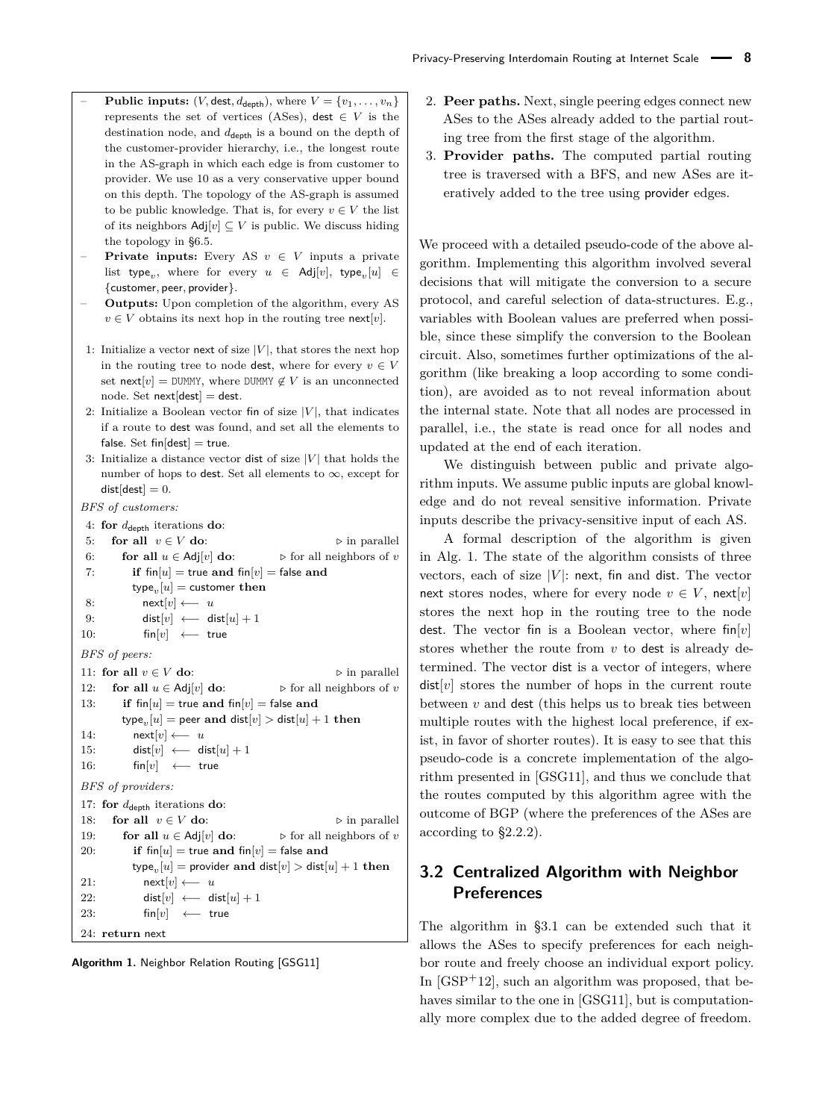- <span id="page-7-1"></span>**Public inputs:** (*V*, dest,  $d_{\text{depth}}$ ), where  $V = \{v_1, \ldots, v_n\}$ represents the set of vertices (ASes), dest  $\in V$  is the destination node, and  $d_{\text{depth}}$  is a bound on the depth of the customer-provider hierarchy, i.e., the longest route in the AS-graph in which each edge is from customer to provider. We use 10 as a very conservative upper bound on this depth. The topology of the AS-graph is assumed to be public knowledge. That is, for every  $v \in V$  the list of its neighbors  $\text{Adj}[v] \subseteq V$  is public. We discuss hiding the topology in [§6.5.](#page-15-2)
- **Private inputs:** Every AS  $v \in V$  inputs a private list type<sub>*v*</sub>, where for every  $u \in$  Adj[*v*], type<sub>*v*</sub>[*u*]  $\in$ {customer*,* peer*,* provider}.
- **Outputs:** Upon completion of the algorithm, every AS  $v \in V$  obtains its next hop in the routing tree next[*v*].
- 1: Initialize a vector next of size  $|V|$ , that stores the next hop in the routing tree to node dest, where for every  $v \in V$ set next[ $v$ ] = DUMMY, where DUMMY  $\notin V$  is an unconnected node. Set next[dest] = dest.
- 2: Initialize a Boolean vector fin of size  $|V|$ , that indicates if a route to dest was found, and set all the elements to false. Set  $fin[dest] = true$ .
- 3: Initialize a distance vector dist of size  $|V|$  that holds the number of hops to dest. Set all elements to  $\infty$ , except for  $dist[dest] = 0.$

*BFS of customers:*

4: **for**  $d_{\text{depth}}$  iterations **do**: 5: **for all**  $v \in V$  **do:**  $\triangleright$  in parallel 6: **for all**  $u \in \text{Adj}[v]$  **do**:  $\triangleright$  for all neighbors of *v* 7: **if**  $\text{fin}[u] = \text{true}$  and  $\text{fin}[v] = \text{false}$  and  $\tt type_v[u] = \t{customer}$  then 8:  $\qquad \qquad \text{next}[v] \longleftarrow u$ 9: dist $[v] \leftarrow \text{dist}[u] + 1$ 10: fin[v] ← true *BFS of peers:* 11: **for all**  $v \in V$  **do:**  $\triangleright$  in parallel 12: **for all**  $u \in Adj[v]$  **do:**  $\rhd$  for all neighbors of *v* 13: **if**  $\text{fin}[u] = \text{true}$  and  $\text{fin}[v] = \text{false}$  and  $\tt type_{v}[u] =$  peer  $\tt and$   $\tt dist[v] >$   $\tt dist[u] + 1$   $\tt then$ 14:  $\mathsf{next}[v] \longleftarrow u$ 15: dist $[v] \leftarrow \text{dist}[u] + 1$ 16: fin[v] ← true *BFS of providers:* 17: **for**  $d_{\text{depth}}$  iterations **do**: 18: **for all**  $v \in V$  **do:**  $\triangleright$  in parallel 19: **for all**  $u \in Adj[v]$  **do**:  $\triangleright$  for all neighbors of *v* 20: **if**  $\operatorname{fin}[u] = \operatorname{true}$  and  $\operatorname{fin}[v] = \operatorname{false}$  and  $\tt type_{v}[u] =$  provider  $\textbf{and} \; \textsf{dist}[v] > \textsf{dist}[u] + 1 \; \textbf{then}$ 21:  $next[v] \longleftarrow u$ 22: dist[ $v$ ] ← dist[ $u$ ] + 1 23:  $fin[v]$  ← true 24: **return** next

**Algorithm 1.** Neighbor Relation Routing [\[GSG11\]](#page-16-2)

- 2. **Peer paths.** Next, single peering edges connect new ASes to the ASes already added to the partial routing tree from the first stage of the algorithm.
- 3. **Provider paths.** The computed partial routing tree is traversed with a BFS, and new ASes are iteratively added to the tree using provider edges.

We proceed with a detailed pseudo-code of the above algorithm. Implementing this algorithm involved several decisions that will mitigate the conversion to a secure protocol, and careful selection of data-structures. E.g., variables with Boolean values are preferred when possible, since these simplify the conversion to the Boolean circuit. Also, sometimes further optimizations of the algorithm (like breaking a loop according to some condition), are avoided as to not reveal information about the internal state. Note that all nodes are processed in parallel, i.e., the state is read once for all nodes and updated at the end of each iteration.

We distinguish between public and private algorithm inputs. We assume public inputs are global knowledge and do not reveal sensitive information. Private inputs describe the privacy-sensitive input of each AS.

A formal description of the algorithm is given in Alg. [1.](#page-7-1) The state of the algorithm consists of three vectors, each of size  $|V|$ : next, fin and dist. The vector next stores nodes, where for every node  $v \in V$ , next[*v*] stores the next hop in the routing tree to the node dest. The vector fin is a Boolean vector, where fin[*v*] stores whether the route from *v* to dest is already determined. The vector dist is a vector of integers, where dist[*v*] stores the number of hops in the current route between *v* and dest (this helps us to break ties between multiple routes with the highest local preference, if exist, in favor of shorter routes). It is easy to see that this pseudo-code is a concrete implementation of the algorithm presented in [\[GSG11\]](#page-16-2), and thus we conclude that the routes computed by this algorithm agree with the outcome of BGP (where the preferences of the ASes are according to [§2.2.2\)](#page-5-1).

## <span id="page-7-0"></span>**3.2 Centralized Algorithm with Neighbor Preferences**

The algorithm in [§3.1](#page-6-1) can be extended such that it allows the ASes to specify preferences for each neighbor route and freely choose an individual export policy. In  $[GSP<sup>+</sup>12]$  $[GSP<sup>+</sup>12]$ , such an algorithm was proposed, that be-haves similar to the one in [\[GSG11\]](#page-16-2), but is computationally more complex due to the added degree of freedom.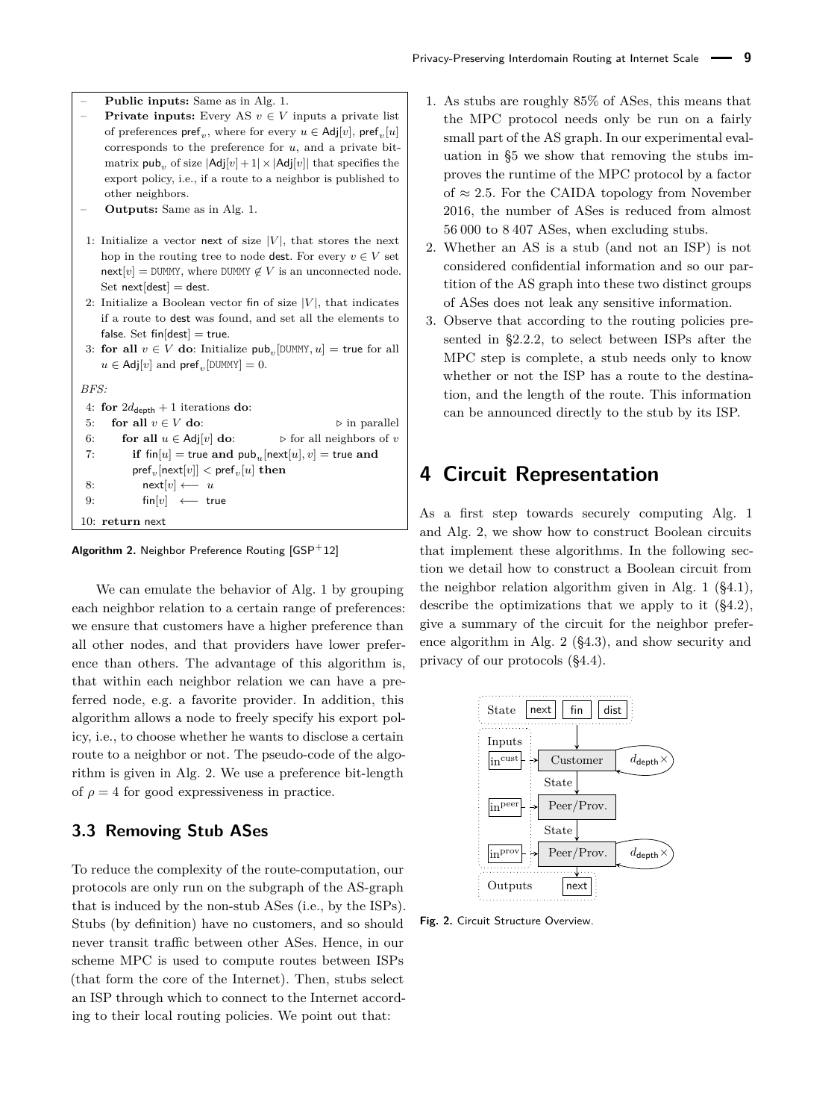```
– Public inputs: Same as in Alg. 1.
```
- **Private inputs:** Every AS  $v \in V$  inputs a private list of preferences  $\mathsf{pref}_v$ , where for every  $u \in \mathsf{Adj}[v]$ ,  $\mathsf{pref}_v[u]$ corresponds to the preference for *u*, and a private bitmatrix pub<sub>*i*</sub>, of size  $|Adj[v] + 1| \times |Adj[v]|$  that specifies the export policy, i.e., if a route to a neighbor is published to other neighbors.
- **Outputs:** Same as in Alg. [1.](#page-7-1)
- 1: Initialize a vector next of size  $|V|$ , that stores the next hop in the routing tree to node dest. For every  $v \in V$  set  $next[v] = DUMMY$ , where DUMMY  $\notin V$  is an unconnected node. Set  $next[dest] = dest$ .
- 2: Initialize a Boolean vector fin of size  $|V|$ , that indicates if a route to dest was found, and set all the elements to false. Set  $fin[dest] = true$ .
- 3: **for all**  $v \in V$  **do**: Initialize  $\mathsf{pub}_v[\text{DUMMY}, u] = \mathsf{true}$  for all  $u \in \text{Adj}[v]$  and  $\text{pref}_v[\text{DUMMY}] = 0.$

*BFS:*

```
4: for 2d_{\text{depth}} + 1 iterations do:
5: for all v \in V do: \triangleright in parallel
6: for all u \in \text{Adj}[v] do: \triangleright for all neighbors of v
```
7: **if** fin[u] = true and  $\text{pub}_{u}[\text{next}[u], v]$  = true and

 $\mathsf{pref}_v[\mathsf{next}[v]] < \mathsf{pref}_v[u] \mathsf{then}$ 

8:  $\qquad \qquad \mathsf{next}[v] \longleftarrow u$ 

```
9: fin[v] \leftarrow true
```
10: **return** next

**Algorithm 2.** Neighbor Preference Routing [\[GSP](#page-16-1)+12]

We can emulate the behavior of Alg. [1](#page-7-1) by grouping each neighbor relation to a certain range of preferences: we ensure that customers have a higher preference than all other nodes, and that providers have lower preference than others. The advantage of this algorithm is, that within each neighbor relation we can have a preferred node, e.g. a favorite provider. In addition, this algorithm allows a node to freely specify his export policy, i.e., to choose whether he wants to disclose a certain route to a neighbor or not. The pseudo-code of the algorithm is given in Alg. [2.](#page-8-2) We use a preference bit-length of  $\rho = 4$  for good expressiveness in practice.

### <span id="page-8-1"></span>**3.3 Removing Stub ASes**

To reduce the complexity of the route-computation, our protocols are only run on the subgraph of the AS-graph that is induced by the non-stub ASes (i.e., by the ISPs). Stubs (by definition) have no customers, and so should never transit traffic between other ASes. Hence, in our scheme MPC is used to compute routes between ISPs (that form the core of the Internet). Then, stubs select an ISP through which to connect to the Internet according to their local routing policies. We point out that:

- 1. As stubs are roughly 85% of ASes, this means that the MPC protocol needs only be run on a fairly small part of the AS graph. In our experimental evaluation in [§5](#page-12-0) we show that removing the stubs improves the runtime of the MPC protocol by a factor of  $\approx 2.5$ . For the CAIDA topology from November 2016, the number of ASes is reduced from almost 56 000 to 8 407 ASes, when excluding stubs.
- 2. Whether an AS is a stub (and not an ISP) is not considered confidential information and so our partition of the AS graph into these two distinct groups of ASes does not leak any sensitive information.
- 3. Observe that according to the routing policies presented in [§2.2.2,](#page-5-1) to select between ISPs after the MPC step is complete, a stub needs only to know whether or not the ISP has a route to the destination, and the length of the route. This information can be announced directly to the stub by its ISP.

## <span id="page-8-0"></span>**4 Circuit Representation**

As a first step towards securely computing Alg. [1](#page-7-1) and Alg. [2,](#page-8-2) we show how to construct Boolean circuits that implement these algorithms. In the following section we detail how to construct a Boolean circuit from the neighbor relation algorithm given in Alg. [1](#page-7-1) ([§4.1\)](#page-9-0), describe the optimizations that we apply to it ([§4.2\)](#page-10-1), give a summary of the circuit for the neighbor preference algorithm in Alg. [2](#page-8-2) ([§4.3\)](#page-11-0), and show security and privacy of our protocols ([§4.4\)](#page-11-1).

<span id="page-8-3"></span>

**Fig. 2.** Circuit Structure Overview.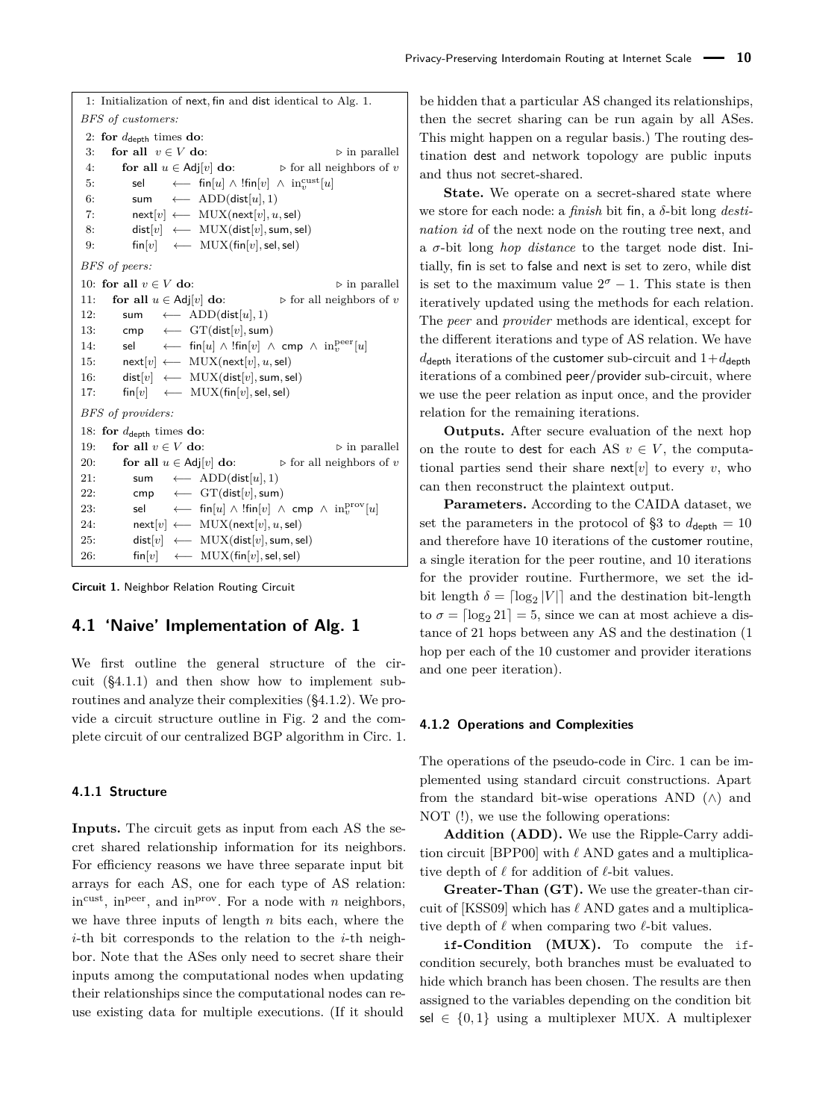<span id="page-9-3"></span>1: Initialization of next*,* fin and dist identical to Alg. [1.](#page-7-1) *BFS of customers:* 2: **for**  $d_{\text{depth}}$  times **do**: 3: **for all**  $v \in V$  **do:**  $\triangleright$  in parallel 4: **for all**  $u \in \text{Adj}[v]$  **do**:  $\triangleright$  for all neighbors of *v* 5: sel ← fin $[u] \wedge !$ fin $[v] \wedge in_v^{\text{cust}}[u]$ 6: sum ←  $ADD(dist[u], 1)$ 7:  $next[v] \longleftarrow \text{MUX}(\text{next}[v], u, \text{sel})$ 8: dist[*v*] ←− MUX(dist[*v*]*,* sum*,* sel) 9: fin $[v]$  ← MUX(fin $[v]$ *,* sel*,* sel) *BFS of peers:* 10: **for all**  $v \in V$  **do:**  $\triangleright$  in parallel 11: **for all**  $u \in Adj[v]$  **do:**  $\rhd$  for all neighbors of *v* 12: sum ← ADD(dist[u], 1) 13: cmp ←  $GT(dist[v], sum)$ 14: sel ← fin $[u] \wedge !$  fin $[v] \wedge$  cmp  $\wedge \text{ in}_v^{\text{peer}}[u]$ 15:  $next[v] \longleftarrow \text{MUX}(\text{next}[v], u, \text{sel})$ 16: dist[*v*] ←− MUX(dist[*v*]*,* sum*,* sel) 17:  $\text{fin}[v] \leftarrow \text{MUX}(\text{fin}[v], \text{sel}, \text{sel})$ *BFS of providers:* 18: **for**  $d_{\text{death}}$  times **do**: 19: **for all**  $v \in V$  **do:**  $\triangleright$  in parallel 20: **for all**  $u \in Adj[v]$  **do**:  $\triangleright$  for all neighbors of *v* 21: sum ←  $ADD(dist[u], 1)$ 22: cmp ←  $GT(dist[v], sum)$ 23: sel ← fin $[u] \wedge !$  fin $[v] \wedge$  cmp  $\wedge \text{ in}_v^{\text{prov}}[u]$ 24:  $next[v] \longleftarrow \text{MUX}(\text{next}[v], u, \text{sel})$ 25: dist[ $v$ ] ← MUX(dist[ $v$ ], sum, sel) 26: fin $[v] \leftarrow \text{MUX}(\text{fin}[v], \text{sel}, \text{sel})$ 

**Circuit 1.** Neighbor Relation Routing Circuit

### <span id="page-9-0"></span>**4.1 'Naive' Implementation of Alg. [1](#page-7-1)**

We first outline the general structure of the circuit ([§4.1.1\)](#page-9-1) and then show how to implement subroutines and analyze their complexities ([§4.1.2\)](#page-9-2). We provide a circuit structure outline in Fig. [2](#page-8-3) and the complete circuit of our centralized BGP algorithm in Circ. [1.](#page-9-3)

#### <span id="page-9-1"></span>**4.1.1 Structure**

**Inputs.** The circuit gets as input from each AS the secret shared relationship information for its neighbors. For efficiency reasons we have three separate input bit arrays for each AS, one for each type of AS relation:  $in<sup>cut</sup>$ , in<sup>peer</sup>, and in<sup>prov</sup>. For a node with *n* neighbors, we have three inputs of length *n* bits each, where the *i*-th bit corresponds to the relation to the *i*-th neighbor. Note that the ASes only need to secret share their inputs among the computational nodes when updating their relationships since the computational nodes can reuse existing data for multiple executions. (If it should

be hidden that a particular AS changed its relationships, then the secret sharing can be run again by all ASes. This might happen on a regular basis.) The routing destination dest and network topology are public inputs and thus not secret-shared.

**State.** We operate on a secret-shared state where we store for each node: a *finish* bit fin, a *δ*-bit long *destination id* of the next node on the routing tree next, and a *σ*-bit long *hop distance* to the target node dist. Initially, fin is set to false and next is set to zero, while dist is set to the maximum value  $2^{\sigma} - 1$ . This state is then iteratively updated using the methods for each relation. The *peer* and *provider* methods are identical, except for the different iterations and type of AS relation. We have  $d_{\text{depth}}$  iterations of the customer sub-circuit and  $1+d_{\text{depth}}$ iterations of a combined peer/provider sub-circuit, where we use the peer relation as input once, and the provider relation for the remaining iterations.

**Outputs.** After secure evaluation of the next hop on the route to dest for each AS  $v \in V$ , the computational parties send their share  $\text{next}[v]$  to every *v*, who can then reconstruct the plaintext output.

**Parameters.** According to the CAIDA dataset, we set the parameters in the protocol of  $\S3$  to  $d_{\text{depth}} = 10$ and therefore have 10 iterations of the customer routine, a single iteration for the peer routine, and 10 iterations for the provider routine. Furthermore, we set the idbit length  $\delta = \lceil \log_2 |V| \rceil$  and the destination bit-length to  $\sigma = \lceil \log_2 21 \rceil = 5$ , since we can at most achieve a distance of 21 hops between any AS and the destination (1 hop per each of the 10 customer and provider iterations and one peer iteration).

#### <span id="page-9-2"></span>**4.1.2 Operations and Complexities**

The operations of the pseudo-code in Circ. [1](#page-9-3) can be implemented using standard circuit constructions. Apart from the standard bit-wise operations AND  $( \wedge )$  and NOT (!), we use the following operations:

**Addition (ADD).** We use the Ripple-Carry addi-tion circuit [\[BPP00\]](#page-16-26) with  $\ell$  AND gates and a multiplicative depth of  $\ell$  for addition of  $\ell$ -bit values.

**Greater-Than (GT).** We use the greater-than cir-cuit of [\[KSS09\]](#page-16-27) which has  $\ell$  AND gates and a multiplicative depth of  $\ell$  when comparing two  $\ell$ -bit values.

**if-Condition (MUX).** To compute the ifcondition securely, both branches must be evaluated to hide which branch has been chosen. The results are then assigned to the variables depending on the condition bit sel  $\in \{0,1\}$  using a multiplexer MUX. A multiplexer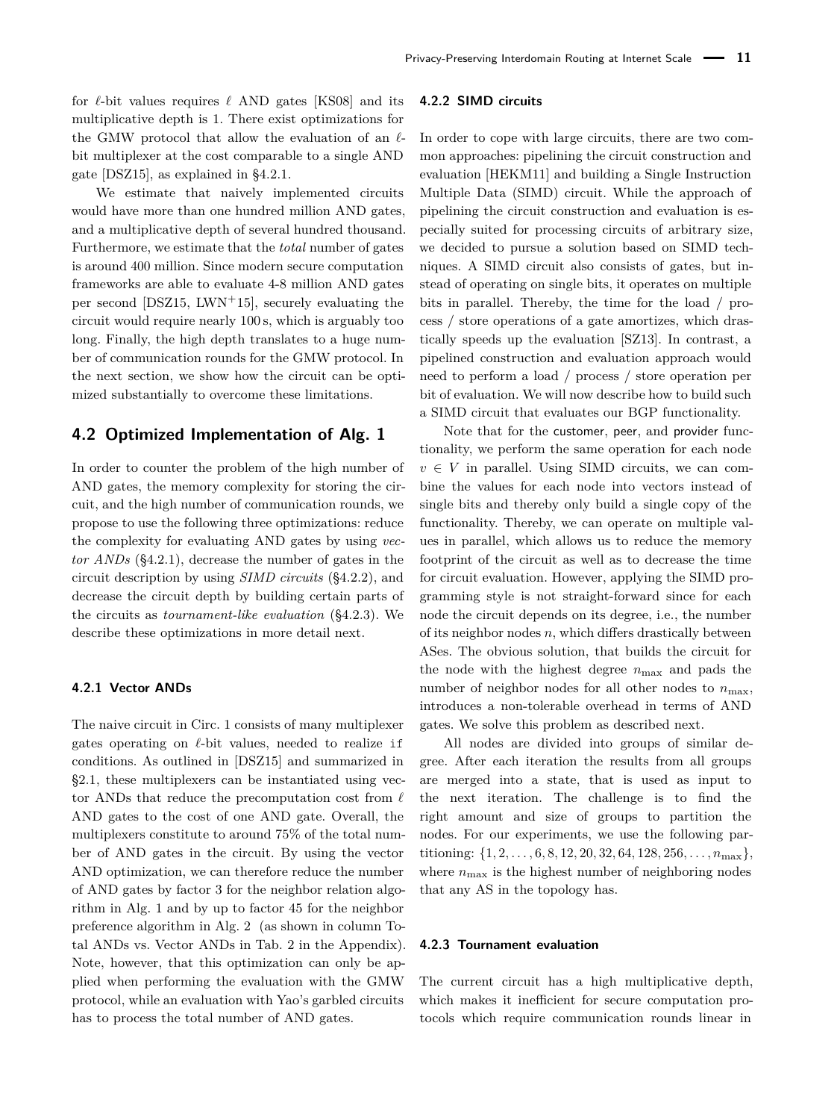for  $\ell$ -bit values requires  $\ell$  AND gates [\[KS08\]](#page-16-28) and its multiplicative depth is 1. There exist optimizations for the GMW protocol that allow the evaluation of an  $\ell$ bit multiplexer at the cost comparable to a single AND gate [\[DSZ15\]](#page-16-4), as explained in [§4.2.1.](#page-10-0)

We estimate that naively implemented circuits would have more than one hundred million AND gates, and a multiplicative depth of several hundred thousand. Furthermore, we estimate that the *total* number of gates is around 400 million. Since modern secure computation frameworks are able to evaluate 4-8 million AND gates per second [\[DSZ15,](#page-16-4) [LWN](#page-17-3)<sup>+</sup>15], securely evaluating the circuit would require nearly 100 s, which is arguably too long. Finally, the high depth translates to a huge number of communication rounds for the GMW protocol. In the next section, we show how the circuit can be optimized substantially to overcome these limitations.

### <span id="page-10-1"></span>**4.2 Optimized Implementation of Alg. [1](#page-7-1)**

In order to counter the problem of the high number of AND gates, the memory complexity for storing the circuit, and the high number of communication rounds, we propose to use the following three optimizations: reduce the complexity for evaluating AND gates by using *vector ANDs* ([§4.2.1\)](#page-10-0), decrease the number of gates in the circuit description by using *SIMD circuits* ([§4.2.2\)](#page-10-2), and decrease the circuit depth by building certain parts of the circuits as *tournament-like evaluation* ([§4.2.3\)](#page-10-3). We describe these optimizations in more detail next.

#### <span id="page-10-0"></span>**4.2.1 Vector ANDs**

The naive circuit in Circ. [1](#page-9-3) consists of many multiplexer gates operating on  $\ell$ -bit values, needed to realize if conditions. As outlined in [\[DSZ15\]](#page-16-4) and summarized in [§2.1,](#page-4-1) these multiplexers can be instantiated using vector ANDs that reduce the precomputation cost from  $\ell$ AND gates to the cost of one AND gate. Overall, the multiplexers constitute to around 75% of the total number of AND gates in the circuit. By using the vector AND optimization, we can therefore reduce the number of AND gates by factor 3 for the neighbor relation algorithm in Alg. [1](#page-7-1) and by up to factor 45 for the neighbor preference algorithm in Alg. [2](#page-8-2) (as shown in column Total ANDs vs. Vector ANDs in Tab. [2](#page-20-1) in the Appendix). Note, however, that this optimization can only be applied when performing the evaluation with the GMW protocol, while an evaluation with Yao's garbled circuits has to process the total number of AND gates.

#### <span id="page-10-2"></span>**4.2.2 SIMD circuits**

In order to cope with large circuits, there are two common approaches: pipelining the circuit construction and evaluation [\[HEKM11\]](#page-16-17) and building a Single Instruction Multiple Data (SIMD) circuit. While the approach of pipelining the circuit construction and evaluation is especially suited for processing circuits of arbitrary size, we decided to pursue a solution based on SIMD techniques. A SIMD circuit also consists of gates, but instead of operating on single bits, it operates on multiple bits in parallel. Thereby, the time for the load / process / store operations of a gate amortizes, which drastically speeds up the evaluation [\[SZ13\]](#page-17-7). In contrast, a pipelined construction and evaluation approach would need to perform a load / process / store operation per bit of evaluation. We will now describe how to build such a SIMD circuit that evaluates our BGP functionality.

Note that for the customer, peer, and provider functionality, we perform the same operation for each node  $v \in V$  in parallel. Using SIMD circuits, we can combine the values for each node into vectors instead of single bits and thereby only build a single copy of the functionality. Thereby, we can operate on multiple values in parallel, which allows us to reduce the memory footprint of the circuit as well as to decrease the time for circuit evaluation. However, applying the SIMD programming style is not straight-forward since for each node the circuit depends on its degree, i.e., the number of its neighbor nodes *n*, which differs drastically between ASes. The obvious solution, that builds the circuit for the node with the highest degree  $n_{\text{max}}$  and pads the number of neighbor nodes for all other nodes to  $n_{\text{max}}$ , introduces a non-tolerable overhead in terms of AND gates. We solve this problem as described next.

All nodes are divided into groups of similar degree. After each iteration the results from all groups are merged into a state, that is used as input to the next iteration. The challenge is to find the right amount and size of groups to partition the nodes. For our experiments, we use the following partitioning:  $\{1, 2, \ldots, 6, 8, 12, 20, 32, 64, 128, 256, \ldots, n_{\text{max}}\},\$ where  $n_{\text{max}}$  is the highest number of neighboring nodes that any AS in the topology has.

#### <span id="page-10-3"></span>**4.2.3 Tournament evaluation**

The current circuit has a high multiplicative depth, which makes it inefficient for secure computation protocols which require communication rounds linear in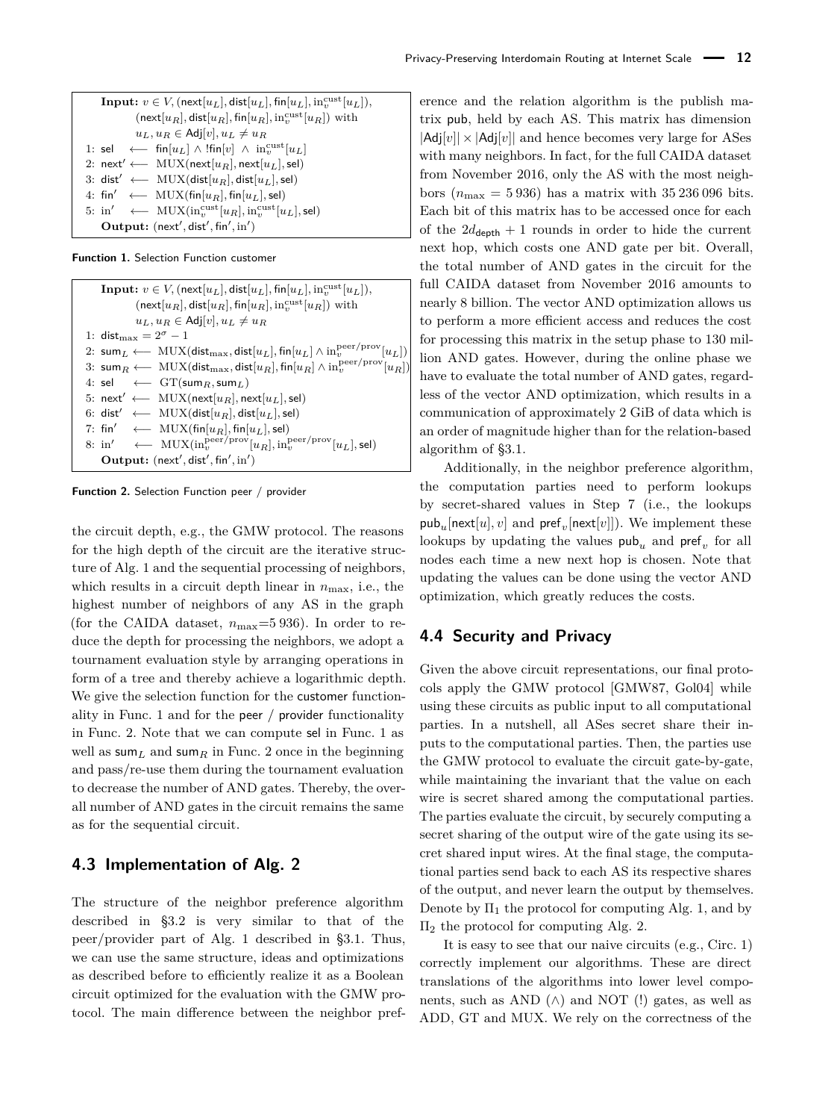<span id="page-11-2"></span>

| <b>Input:</b> $v \in V$ , (next[u <sub>L</sub> ], dist[u <sub>L</sub> ], fin[u <sub>L</sub> ], in <sup>cust</sup> [u <sub>L</sub> ]),  |
|----------------------------------------------------------------------------------------------------------------------------------------|
| $(\text{next}[u_B], \text{dist}[u_B], \text{fin}[u_B], \text{in}^{\text{cut}}_{\omega} [u_B])$ with                                    |
| $u_L, u_R \in \text{Adj}[v], u_L \neq u_R$                                                                                             |
| 1: sel $\leftarrow$ fin $[u_L] \wedge !$ fin $[v] \wedge in_v^{\text{cut}}[u_L]$                                                       |
| 2: $next' \longleftarrow \text{MUX}(\text{next}[u_R], \text{next}[u_L], \text{sel})$                                                   |
| 3: dist' $\longleftarrow$ MUX(dist[ $u_R$ ], dist[ $u_L$ ], sel)                                                                       |
| 4: fin' $\leftarrow \text{MUX}(\text{fin}[u_R], \text{fin}[u_L], \text{sel})$                                                          |
| 5: in' $\longleftarrow$ MUX(in <sub>v</sub> <sup>cust</sup> [u <sub>R</sub> ], in <sub>v</sub> <sup>cust</sup> [u <sub>L</sub> ], sel) |
| Output: (next', dist', fin', in')                                                                                                      |

**Function 1.** Selection Function customer

<span id="page-11-3"></span>

| <b>Input:</b> $v \in V$ , (next[ $u_L$ ], dist[ $u_L$ ], fin[ $u_L$ ], in <sup>cust</sup> [ $u_L$ ]),                                                          |
|----------------------------------------------------------------------------------------------------------------------------------------------------------------|
| $(\text{next}[u_R], \text{dist}[u_R], \text{fin}[u_R], \text{in}^{\text{cut}}_n[u_R])$ with                                                                    |
| $u_L, u_R \in Adj[v], u_L \neq u_R$                                                                                                                            |
| 1: dist <sub>max</sub> = $2^{\sigma}$ - 1                                                                                                                      |
| 2: $\mathsf{sum}_L \longleftarrow \text{MUX}(\mathsf{dist}_{\max}, \mathsf{dist}[u_L], \mathsf{fin}[u_L] \wedge \text{in}^{\text{peer}/\text{prov}}_v[u_L])$   |
| $3\colon\,\mathsf{sum}_R\longleftarrow\,\text{MUX}(\mathsf{dist}_{\max},\mathsf{dist}[u_R],\mathsf{fin}[u_R]\wedge\text{in}^{\text{peer}/\text{prov}}_v[u_R])$ |
| 4: sel $\leftarrow$ GT(sum <sub>R</sub> , sum <sub>I</sub> )                                                                                                   |
| 5: next' $\longleftarrow$ MUX(next[ $u_R$ ], next[ $u_L$ ], sel)                                                                                               |
| 6: dist' $\longleftarrow$ MUX(dist[u <sub>R</sub> ], dist[u <sub>L</sub> ], sel)                                                                               |
| 7: fin' $\longleftarrow$ MUX(fin[u <sub>R</sub> ], fin[u <sub>L</sub> ], sel)                                                                                  |
| 8: in' $\leftarrow \text{MUX}(in_v^{\text{peer}/\text{prov}}[u_R], in_v^{\text{peer}/\text{prov}}[u_L], \text{sel})$                                           |
| Output: $(next', dist', fin', in')$                                                                                                                            |

**Function 2.** Selection Function peer / provider

the circuit depth, e.g., the GMW protocol. The reasons for the high depth of the circuit are the iterative structure of Alg. [1](#page-7-1) and the sequential processing of neighbors, which results in a circuit depth linear in  $n_{\text{max}}$ , i.e., the highest number of neighbors of any AS in the graph (for the CAIDA dataset,  $n_{\text{max}}=5936$ ). In order to reduce the depth for processing the neighbors, we adopt a tournament evaluation style by arranging operations in form of a tree and thereby achieve a logarithmic depth. We give the selection function for the customer functionality in Func. [1](#page-11-2) and for the peer / provider functionality in Func. [2.](#page-11-3) Note that we can compute sel in Func. [1](#page-11-2) as well as  $\textsf{sum}_L$  and  $\textsf{sum}_R$  in Func. [2](#page-11-3) once in the beginning and pass/re-use them during the tournament evaluation to decrease the number of AND gates. Thereby, the overall number of AND gates in the circuit remains the same as for the sequential circuit.

### <span id="page-11-0"></span>**4.3 Implementation of Alg. [2](#page-8-2)**

The structure of the neighbor preference algorithm described in [§3.2](#page-7-0) is very similar to that of the peer/provider part of Alg. [1](#page-7-1) described in [§3.1.](#page-6-1) Thus, we can use the same structure, ideas and optimizations as described before to efficiently realize it as a Boolean circuit optimized for the evaluation with the GMW protocol. The main difference between the neighbor pref-

erence and the relation algorithm is the publish matrix pub, held by each AS. This matrix has dimension  $|Adj[v]| \times |Adj[v]|$  and hence becomes very large for ASes with many neighbors. In fact, for the full CAIDA dataset from November 2016, only the AS with the most neighbors  $(n_{\text{max}} = 5936)$  has a matrix with 35 236 096 bits. Each bit of this matrix has to be accessed once for each of the  $2d_{\text{depth}} + 1$  rounds in order to hide the current next hop, which costs one AND gate per bit. Overall, the total number of AND gates in the circuit for the full CAIDA dataset from November 2016 amounts to nearly 8 billion. The vector AND optimization allows us to perform a more efficient access and reduces the cost for processing this matrix in the setup phase to 130 million AND gates. However, during the online phase we have to evaluate the total number of AND gates, regardless of the vector AND optimization, which results in a communication of approximately 2 GiB of data which is an order of magnitude higher than for the relation-based algorithm of [§3.1.](#page-6-1)

Additionally, in the neighbor preference algorithm, the computation parties need to perform lookups by secret-shared values in Step [7](#page-8-2) (i.e., the lookups  ${\sf pub}_u[{\sf next}[u],v]$  and  ${\sf pref}_v[{\sf next}[v]]$ ). We implement these lookups by updating the values  $\mathsf{pub}_{u}$  and  $\mathsf{pref}_{v}$  for all nodes each time a new next hop is chosen. Note that updating the values can be done using the vector AND optimization, which greatly reduces the costs.

### <span id="page-11-1"></span>**4.4 Security and Privacy**

Given the above circuit representations, our final protocols apply the GMW protocol [\[GMW87,](#page-16-3) [Gol04\]](#page-16-29) while using these circuits as public input to all computational parties. In a nutshell, all ASes secret share their inputs to the computational parties. Then, the parties use the GMW protocol to evaluate the circuit gate-by-gate, while maintaining the invariant that the value on each wire is secret shared among the computational parties. The parties evaluate the circuit, by securely computing a secret sharing of the output wire of the gate using its secret shared input wires. At the final stage, the computational parties send back to each AS its respective shares of the output, and never learn the output by themselves. Denote by  $\Pi_1$  the protocol for computing Alg. [1,](#page-7-1) and by  $\Pi$ <sub>2</sub> the protocol for computing Alg. [2.](#page-8-2)

It is easy to see that our naive circuits (e.g., Circ. [1\)](#page-9-3) correctly implement our algorithms. These are direct translations of the algorithms into lower level components, such as AND  $( \wedge )$  and NOT  $(!)$  gates, as well as ADD, GT and MUX. We rely on the correctness of the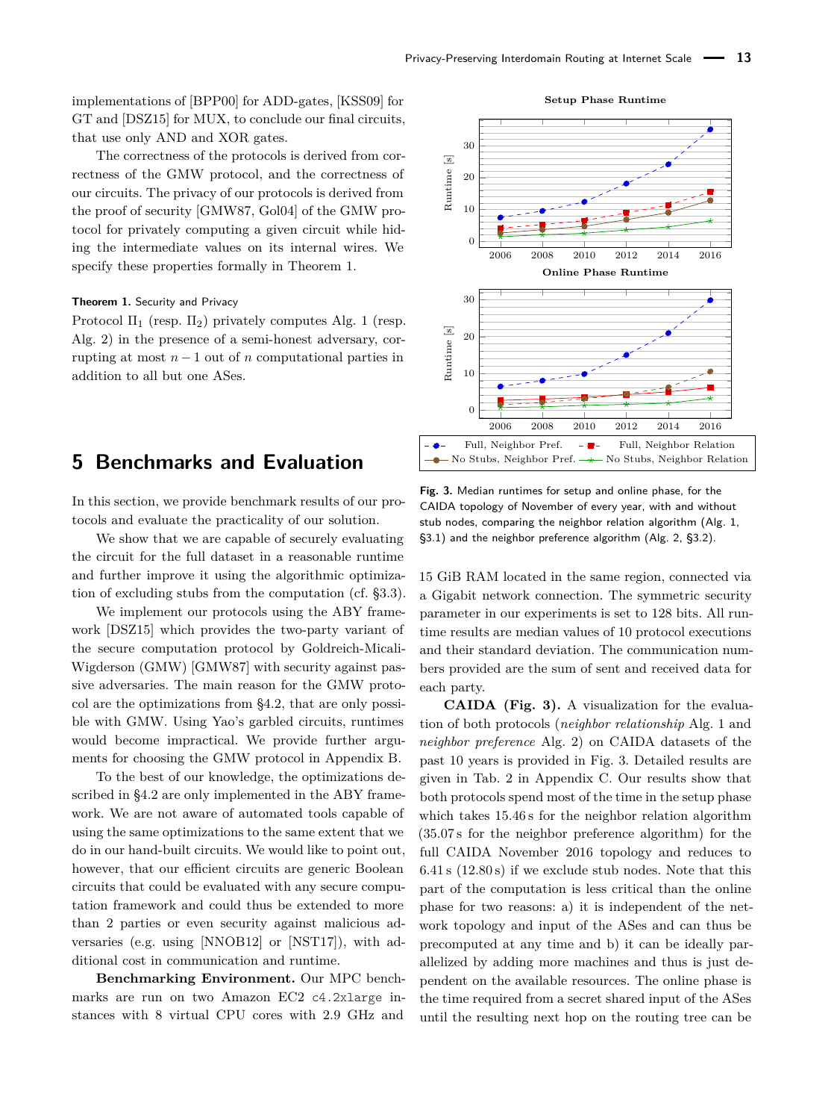implementations of [\[BPP00\]](#page-16-26) for ADD-gates, [\[KSS09\]](#page-16-27) for GT and [\[DSZ15\]](#page-16-4) for MUX, to conclude our final circuits, that use only AND and XOR gates.

The correctness of the protocols is derived from correctness of the GMW protocol, and the correctness of our circuits. The privacy of our protocols is derived from the proof of security [\[GMW87,](#page-16-3) [Gol04\]](#page-16-29) of the GMW protocol for privately computing a given circuit while hiding the intermediate values on its internal wires. We specify these properties formally in Theorem [1.](#page-12-1)

#### <span id="page-12-1"></span>**Theorem 1.** Security and Privacy

Protocol  $\Pi_1$  (resp.  $\Pi_2$ ) privately computes Alg. [1](#page-7-1) (resp. Alg. [2\)](#page-8-2) in the presence of a semi-honest adversary, corrupting at most  $n-1$  out of  $n$  computational parties in addition to all but one ASes.

## <span id="page-12-0"></span>**5 Benchmarks and Evaluation**

In this section, we provide benchmark results of our protocols and evaluate the practicality of our solution.

We show that we are capable of securely evaluating the circuit for the full dataset in a reasonable runtime and further improve it using the algorithmic optimization of excluding stubs from the computation (cf. [§3.3\)](#page-8-1).

We implement our protocols using the ABY framework [\[DSZ15\]](#page-16-4) which provides the two-party variant of the secure computation protocol by Goldreich-Micali-Wigderson (GMW) [\[GMW87\]](#page-16-3) with security against passive adversaries. The main reason for the GMW protocol are the optimizations from [§4.2,](#page-10-1) that are only possible with GMW. Using Yao's garbled circuits, runtimes would become impractical. We provide further arguments for choosing the GMW protocol in Appendix [B.](#page-17-8)

To the best of our knowledge, the optimizations described in [§4.2](#page-10-1) are only implemented in the ABY framework. We are not aware of automated tools capable of using the same optimizations to the same extent that we do in our hand-built circuits. We would like to point out, however, that our efficient circuits are generic Boolean circuits that could be evaluated with any secure computation framework and could thus be extended to more than 2 parties or even security against malicious adversaries (e.g. using [\[NNOB12\]](#page-17-9) or [\[NST17\]](#page-17-10)), with additional cost in communication and runtime.

**Benchmarking Environment.** Our MPC benchmarks are run on two Amazon EC2 c4.2xlarge instances with 8 virtual CPU cores with 2.9 GHz and

<span id="page-12-2"></span>

**Fig. 3.** Median runtimes for setup and online phase, for the CAIDA topology of November of every year, with and without stub nodes, comparing the neighbor relation algorithm (Alg. [1,](#page-7-1) [§3.1\)](#page-6-1) and the neighbor preference algorithm (Alg. [2,](#page-8-2) [§3.2\)](#page-7-0).

15 GiB RAM located in the same region, connected via a Gigabit network connection. The symmetric security parameter in our experiments is set to 128 bits. All runtime results are median values of 10 protocol executions and their standard deviation. The communication numbers provided are the sum of sent and received data for each party.

**CAIDA (Fig. [3\)](#page-12-2).** A visualization for the evaluation of both protocols (*neighbor relationship* Alg. [1](#page-7-1) and *neighbor preference* Alg. [2\)](#page-8-2) on CAIDA datasets of the past 10 years is provided in Fig. [3.](#page-12-2) Detailed results are given in Tab. [2](#page-20-1) in Appendix [C.](#page-19-0) Our results show that both protocols spend most of the time in the setup phase which takes 15*.*46 s for the neighbor relation algorithm (35*.*07 s for the neighbor preference algorithm) for the full CAIDA November 2016 topology and reduces to 6*.*41 s (12*.*80 s) if we exclude stub nodes. Note that this part of the computation is less critical than the online phase for two reasons: a) it is independent of the network topology and input of the ASes and can thus be precomputed at any time and b) it can be ideally parallelized by adding more machines and thus is just dependent on the available resources. The online phase is the time required from a secret shared input of the ASes until the resulting next hop on the routing tree can be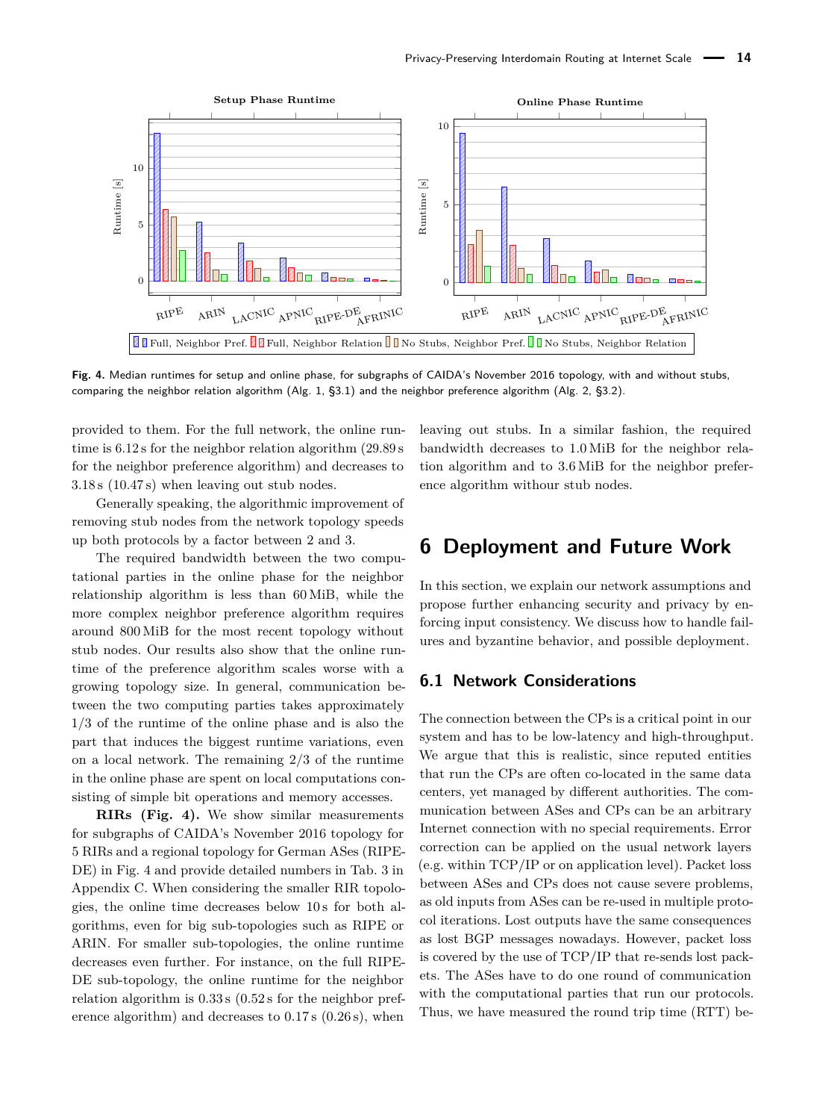<span id="page-13-2"></span>

**Fig. 4.** Median runtimes for setup and online phase, for subgraphs of CAIDA's November 2016 topology, with and without stubs, comparing the neighbor relation algorithm (Alg. [1,](#page-7-1) [§3.1\)](#page-6-1) and the neighbor preference algorithm (Alg. [2,](#page-8-2) [§3.2\)](#page-7-0).

provided to them. For the full network, the online runtime is 6*.*12 s for the neighbor relation algorithm (29*.*89 s for the neighbor preference algorithm) and decreases to 3*.*18 s (10*.*47 s) when leaving out stub nodes.

Generally speaking, the algorithmic improvement of removing stub nodes from the network topology speeds up both protocols by a factor between 2 and 3.

The required bandwidth between the two computational parties in the online phase for the neighbor relationship algorithm is less than 60 MiB, while the more complex neighbor preference algorithm requires around 800 MiB for the most recent topology without stub nodes. Our results also show that the online runtime of the preference algorithm scales worse with a growing topology size. In general, communication between the two computing parties takes approximately 1*/*3 of the runtime of the online phase and is also the part that induces the biggest runtime variations, even on a local network. The remaining 2*/*3 of the runtime in the online phase are spent on local computations consisting of simple bit operations and memory accesses.

**RIRs (Fig. [4\)](#page-13-2).** We show similar measurements for subgraphs of CAIDA's November 2016 topology for 5 RIRs and a regional topology for German ASes (RIPE-DE) in Fig. [4](#page-13-2) and provide detailed numbers in Tab. [3](#page-20-2) in Appendix [C.](#page-19-0) When considering the smaller RIR topologies, the online time decreases below 10 s for both algorithms, even for big sub-topologies such as RIPE or ARIN. For smaller sub-topologies, the online runtime decreases even further. For instance, on the full RIPE-DE sub-topology, the online runtime for the neighbor relation algorithm is 0.33 s (0.52 s for the neighbor preference algorithm) and decreases to 0.17 s (0.26 s), when

leaving out stubs. In a similar fashion, the required bandwidth decreases to 1.0 MiB for the neighbor relation algorithm and to 3.6 MiB for the neighbor preference algorithm withour stub nodes.

## <span id="page-13-0"></span>**6 Deployment and Future Work**

In this section, we explain our network assumptions and propose further enhancing security and privacy by enforcing input consistency. We discuss how to handle failures and byzantine behavior, and possible deployment.

### <span id="page-13-1"></span>**6.1 Network Considerations**

The connection between the CPs is a critical point in our system and has to be low-latency and high-throughput. We argue that this is realistic, since reputed entities that run the CPs are often co-located in the same data centers, yet managed by different authorities. The communication between ASes and CPs can be an arbitrary Internet connection with no special requirements. Error correction can be applied on the usual network layers (e.g. within TCP/IP or on application level). Packet loss between ASes and CPs does not cause severe problems, as old inputs from ASes can be re-used in multiple protocol iterations. Lost outputs have the same consequences as lost BGP messages nowadays. However, packet loss is covered by the use of TCP/IP that re-sends lost packets. The ASes have to do one round of communication with the computational parties that run our protocols. Thus, we have measured the round trip time (RTT) be-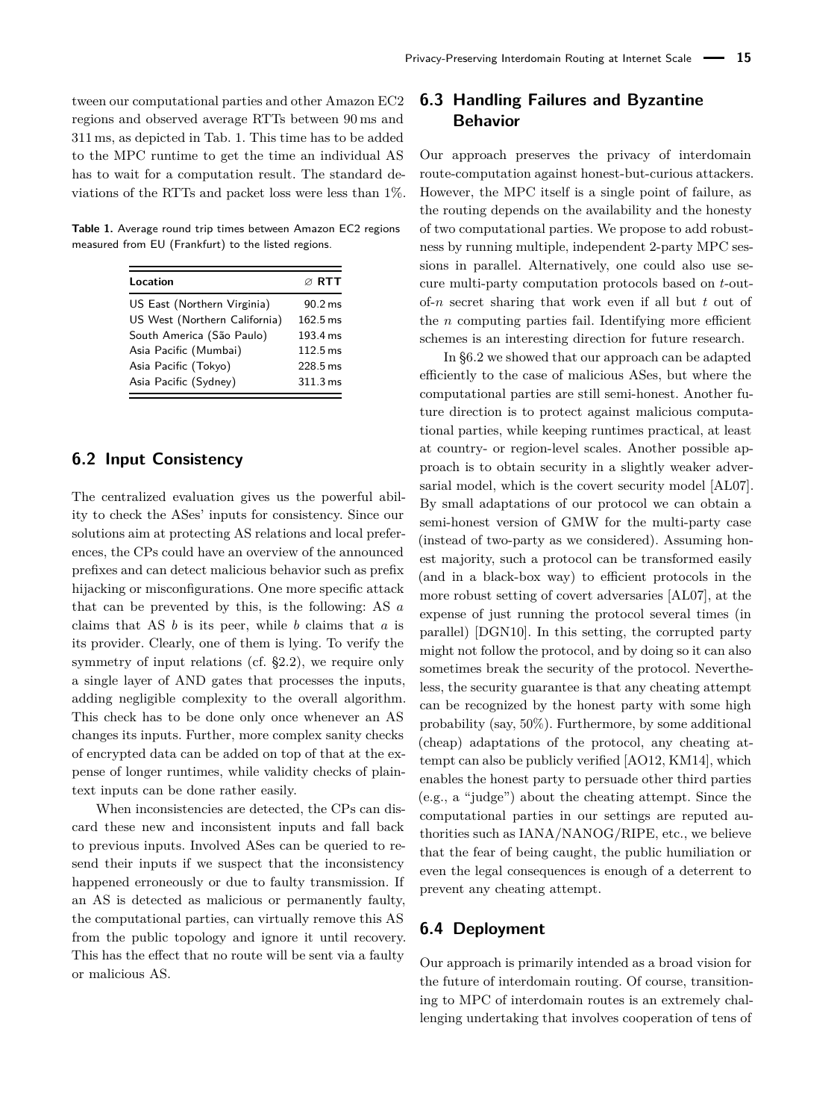tween our computational parties and other Amazon EC2 regions and observed average RTTs between 90 ms and 311 ms, as depicted in Tab. [1.](#page-14-3) This time has to be added to the MPC runtime to get the time an individual AS has to wait for a computation result. The standard deviations of the RTTs and packet loss were less than 1%.

<span id="page-14-3"></span>**Table 1.** Average round trip times between Amazon EC2 regions measured from EU (Frankfurt) to the listed regions.

| Location                      | $\varnothing$ RTT     |
|-------------------------------|-----------------------|
| US East (Northern Virginia)   | $90.2 \text{ ms}$     |
| US West (Northern California) | $162.5 \,\mathrm{ms}$ |
| South America (São Paulo)     | 193.4 ms              |
| Asia Pacific (Mumbai)         | $112.5 \,\mathrm{ms}$ |
| Asia Pacific (Tokyo)          | $228.5 \,\mathrm{ms}$ |
| Asia Pacific (Sydney)         | 311.3 ms              |
|                               |                       |

### <span id="page-14-0"></span>**6.2 Input Consistency**

The centralized evaluation gives us the powerful ability to check the ASes' inputs for consistency. Since our solutions aim at protecting AS relations and local preferences, the CPs could have an overview of the announced prefixes and can detect malicious behavior such as prefix hijacking or misconfigurations. One more specific attack that can be prevented by this, is the following: AS *a* claims that AS *b* is its peer, while *b* claims that *a* is its provider. Clearly, one of them is lying. To verify the symmetry of input relations (cf. [§2.2\)](#page-5-0), we require only a single layer of AND gates that processes the inputs, adding negligible complexity to the overall algorithm. This check has to be done only once whenever an AS changes its inputs. Further, more complex sanity checks of encrypted data can be added on top of that at the expense of longer runtimes, while validity checks of plaintext inputs can be done rather easily.

When inconsistencies are detected, the CPs can discard these new and inconsistent inputs and fall back to previous inputs. Involved ASes can be queried to resend their inputs if we suspect that the inconsistency happened erroneously or due to faulty transmission. If an AS is detected as malicious or permanently faulty, the computational parties, can virtually remove this AS from the public topology and ignore it until recovery. This has the effect that no route will be sent via a faulty or malicious AS.

## <span id="page-14-1"></span>**6.3 Handling Failures and Byzantine Behavior**

Our approach preserves the privacy of interdomain route-computation against honest-but-curious attackers. However, the MPC itself is a single point of failure, as the routing depends on the availability and the honesty of two computational parties. We propose to add robustness by running multiple, independent 2-party MPC sessions in parallel. Alternatively, one could also use secure multi-party computation protocols based on *t*-outof-*n* secret sharing that work even if all but *t* out of the *n* computing parties fail. Identifying more efficient schemes is an interesting direction for future research.

In [§6.2](#page-14-0) we showed that our approach can be adapted efficiently to the case of malicious ASes, but where the computational parties are still semi-honest. Another future direction is to protect against malicious computational parties, while keeping runtimes practical, at least at country- or region-level scales. Another possible approach is to obtain security in a slightly weaker adversarial model, which is the covert security model [\[AL07\]](#page-15-3). By small adaptations of our protocol we can obtain a semi-honest version of GMW for the multi-party case (instead of two-party as we considered). Assuming honest majority, such a protocol can be transformed easily (and in a black-box way) to efficient protocols in the more robust setting of covert adversaries [\[AL07\]](#page-15-3), at the expense of just running the protocol several times (in parallel) [\[DGN10\]](#page-16-30). In this setting, the corrupted party might not follow the protocol, and by doing so it can also sometimes break the security of the protocol. Nevertheless, the security guarantee is that any cheating attempt can be recognized by the honest party with some high probability (say, 50%). Furthermore, by some additional (cheap) adaptations of the protocol, any cheating attempt can also be publicly verified [\[AO12,](#page-15-4) [KM14\]](#page-16-31), which enables the honest party to persuade other third parties (e.g., a "judge") about the cheating attempt. Since the computational parties in our settings are reputed authorities such as IANA/NANOG/RIPE, etc., we believe that the fear of being caught, the public humiliation or even the legal consequences is enough of a deterrent to prevent any cheating attempt.

### <span id="page-14-2"></span>**6.4 Deployment**

Our approach is primarily intended as a broad vision for the future of interdomain routing. Of course, transitioning to MPC of interdomain routes is an extremely challenging undertaking that involves cooperation of tens of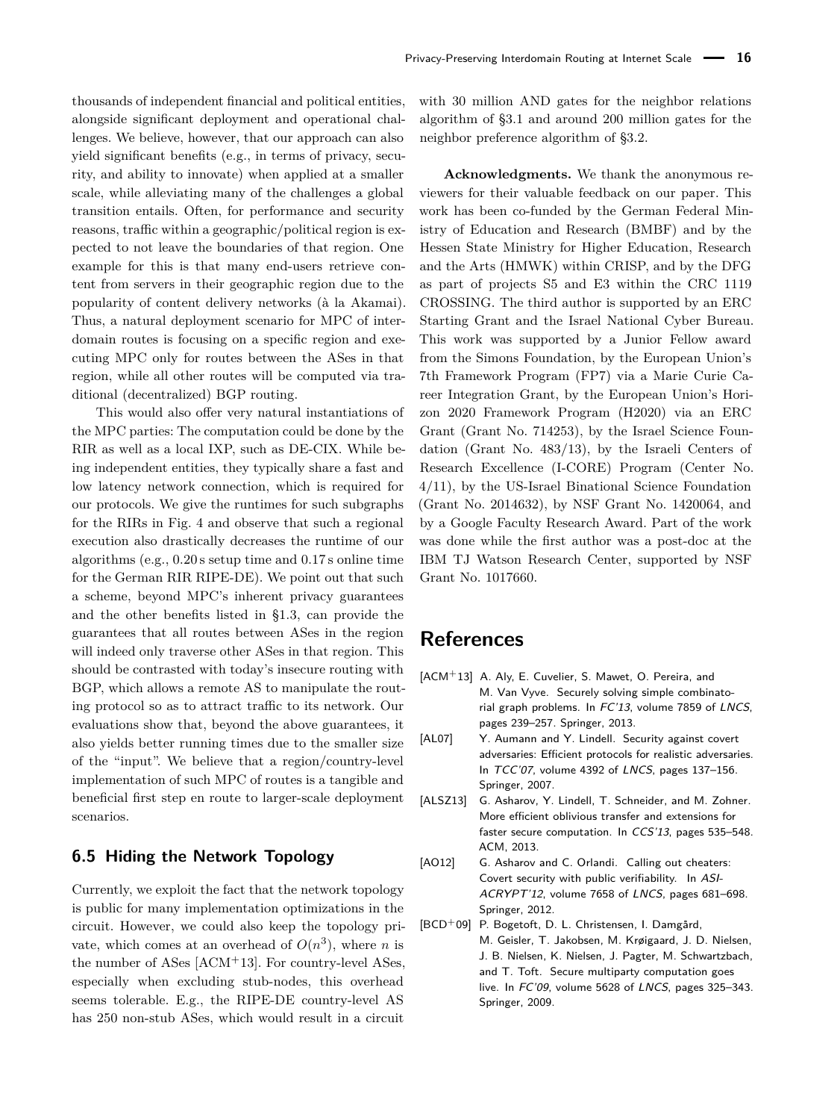thousands of independent financial and political entities, alongside significant deployment and operational challenges. We believe, however, that our approach can also yield significant benefits (e.g., in terms of privacy, security, and ability to innovate) when applied at a smaller scale, while alleviating many of the challenges a global transition entails. Often, for performance and security reasons, traffic within a geographic/political region is expected to not leave the boundaries of that region. One example for this is that many end-users retrieve content from servers in their geographic region due to the popularity of content delivery networks (à la Akamai). Thus, a natural deployment scenario for MPC of interdomain routes is focusing on a specific region and executing MPC only for routes between the ASes in that region, while all other routes will be computed via traditional (decentralized) BGP routing.

This would also offer very natural instantiations of the MPC parties: The computation could be done by the RIR as well as a local IXP, such as DE-CIX. While being independent entities, they typically share a fast and low latency network connection, which is required for our protocols. We give the runtimes for such subgraphs for the RIRs in Fig. [4](#page-13-2) and observe that such a regional execution also drastically decreases the runtime of our algorithms (e.g., 0.20 s setup time and 0.17 s online time for the German RIR RIPE-DE). We point out that such a scheme, beyond MPC's inherent privacy guarantees and the other benefits listed in [§1.3,](#page-2-0) can provide the guarantees that all routes between ASes in the region will indeed only traverse other ASes in that region. This should be contrasted with today's insecure routing with BGP, which allows a remote AS to manipulate the routing protocol so as to attract traffic to its network. Our evaluations show that, beyond the above guarantees, it also yields better running times due to the smaller size of the "input". We believe that a region/country-level implementation of such MPC of routes is a tangible and beneficial first step en route to larger-scale deployment scenarios.

### <span id="page-15-2"></span>**6.5 Hiding the Network Topology**

Currently, we exploit the fact that the network topology is public for many implementation optimizations in the circuit. However, we could also keep the topology private, which comes at an overhead of  $O(n^3)$ , where *n* is the number of ASes [\[ACM](#page-15-5)+13]. For country-level ASes, especially when excluding stub-nodes, this overhead seems tolerable. E.g., the RIPE-DE country-level AS has 250 non-stub ASes, which would result in a circuit

with 30 million AND gates for the neighbor relations algorithm of [§3.1](#page-6-1) and around 200 million gates for the neighbor preference algorithm of [§3.2.](#page-7-0)

**Acknowledgments.** We thank the anonymous reviewers for their valuable feedback on our paper. This work has been co-funded by the German Federal Ministry of Education and Research (BMBF) and by the Hessen State Ministry for Higher Education, Research and the Arts (HMWK) within CRISP, and by the DFG as part of projects S5 and E3 within the CRC 1119 CROSSING. The third author is supported by an ERC Starting Grant and the Israel National Cyber Bureau. This work was supported by a Junior Fellow award from the Simons Foundation, by the European Union's 7th Framework Program (FP7) via a Marie Curie Career Integration Grant, by the European Union's Horizon 2020 Framework Program (H2020) via an ERC Grant (Grant No. 714253), by the Israel Science Foundation (Grant No. 483/13), by the Israeli Centers of Research Excellence (I-CORE) Program (Center No. 4/11), by the US-Israel Binational Science Foundation (Grant No. 2014632), by NSF Grant No. 1420064, and by a Google Faculty Research Award. Part of the work was done while the first author was a post-doc at the IBM TJ Watson Research Center, supported by NSF Grant No. 1017660.

## **References**

- <span id="page-15-5"></span>[ACM+13] A. Aly, E. Cuvelier, S. Mawet, O. Pereira, and M. Van Vyve. Securely solving simple combinatorial graph problems. In FC'13, volume 7859 of LNCS, pages 239–257. Springer, 2013.
- <span id="page-15-3"></span>[AL07] Y. Aumann and Y. Lindell. Security against covert adversaries: Efficient protocols for realistic adversaries. In TCC'07, volume 4392 of LNCS, pages 137–156. Springer, 2007.
- <span id="page-15-1"></span>[ALSZ13] G. Asharov, Y. Lindell, T. Schneider, and M. Zohner. More efficient oblivious transfer and extensions for faster secure computation. In CCS'13, pages 535–548. ACM, 2013.
- <span id="page-15-4"></span>[AO12] G. Asharov and C. Orlandi. Calling out cheaters: Covert security with public verifiability. In ASI-ACRYPT'12, volume 7658 of LNCS, pages 681–698. Springer, 2012.
- <span id="page-15-0"></span>[BCD+09] P. Bogetoft, D. L. Christensen, I. Damgård, M. Geisler, T. Jakobsen, M. Krøigaard, J. D. Nielsen, J. B. Nielsen, K. Nielsen, J. Pagter, M. Schwartzbach, and T. Toft. Secure multiparty computation goes live. In FC'09, volume 5628 of LNCS, pages 325–343. Springer, 2009.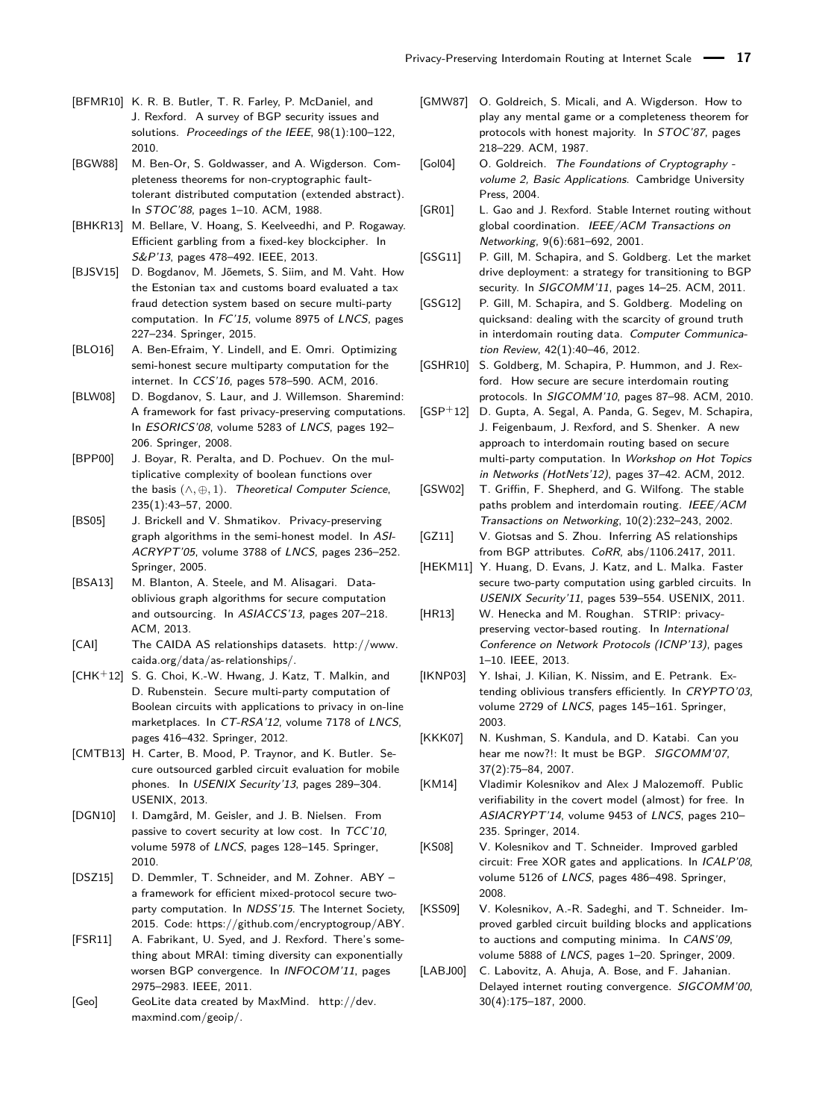- <span id="page-16-9"></span>[BFMR10] K. R. B. Butler, T. R. Farley, P. McDaniel, and J. Rexford. A survey of BGP security issues and solutions. Proceedings of the IEEE, 98(1):100-122, 2010.
- <span id="page-16-10"></span>[BGW88] M. Ben-Or, S. Goldwasser, and A. Wigderson. Completeness theorems for non-cryptographic faulttolerant distributed computation (extended abstract). In STOC'88, pages 1–10. ACM, 1988.
- <span id="page-16-32"></span>[BHKR13] M. Bellare, V. Hoang, S. Keelveedhi, and P. Rogaway. Efficient garbling from a fixed-key blockcipher. In S&P'13, pages 478–492. IEEE, 2013.
- <span id="page-16-19"></span>[BJSV15] D. Bogdanov, M. Jõemets, S. Siim, and M. Vaht. How the Estonian tax and customs board evaluated a tax fraud detection system based on secure multi-party computation. In FC'15, volume 8975 of LNCS, pages 227–234. Springer, 2015.
- <span id="page-16-11"></span>[BLO16] A. Ben-Efraim, Y. Lindell, and E. Omri. Optimizing semi-honest secure multiparty computation for the internet. In CCS'16, pages 578–590. ACM, 2016.
- <span id="page-16-16"></span>[BLW08] D. Bogdanov, S. Laur, and J. Willemson. Sharemind: A framework for fast privacy-preserving computations. In ESORICS'08, volume 5283 of LNCS, pages 192– 206. Springer, 2008.
- <span id="page-16-26"></span>[BPP00] J. Boyar, R. Peralta, and D. Pochuev. On the multiplicative complexity of boolean functions over the basis (∧*,* ⊕*,* 1). Theoretical Computer Science, 235(1):43–57, 2000.
- <span id="page-16-13"></span>[BS05] J. Brickell and V. Shmatikov. Privacy-preserving graph algorithms in the semi-honest model. In ASI-ACRYPT'05, volume 3788 of LNCS, pages 236–252. Springer, 2005.
- <span id="page-16-14"></span>[BSA13] M. Blanton, A. Steele, and M. Alisagari. Dataoblivious graph algorithms for secure computation and outsourcing. In ASIACCS'13, pages 207–218. ACM, 2013.
- <span id="page-16-24"></span>[CAI] The CAIDA AS relationships datasets. [http://www.](http://www.caida.org/data/as-relationships/) [caida.org/data/as-relationships/.](http://www.caida.org/data/as-relationships/)
- <span id="page-16-18"></span>[CHK+12] S. G. Choi, K.-W. Hwang, J. Katz, T. Malkin, and D. Rubenstein. Secure multi-party computation of Boolean circuits with applications to privacy in on-line marketplaces. In CT-RSA'12, volume 7178 of LNCS, pages 416–432. Springer, 2012.
- <span id="page-16-15"></span>[CMTB13] H. Carter, B. Mood, P. Traynor, and K. Butler. Secure outsourced garbled circuit evaluation for mobile phones. In USENIX Security'13, pages 289–304. USENIX, 2013.
- <span id="page-16-30"></span>[DGN10] I. Damgård, M. Geisler, and J. B. Nielsen. From passive to covert security at low cost. In TCC'10, volume 5978 of LNCS, pages 128–145. Springer, 2010.
- <span id="page-16-4"></span>[DSZ15] D. Demmler, T. Schneider, and M. Zohner. ABY – a framework for efficient mixed-protocol secure twoparty computation. In NDSS'15. The Internet Society, 2015. Code: [https://github.com/encryptogroup/ABY.](https://github.com/encryptogroup/ABY)
- <span id="page-16-8"></span>[FSR11] A. Fabrikant, U. Syed, and J. Rexford. There's something about MRAI: timing diversity can exponentially worsen BGP convergence. In INFOCOM'11, pages 2975–2983. IEEE, 2011.
- <span id="page-16-25"></span>[Geo] GeoLite data created by MaxMind. [http://dev.](http://dev.maxmind.com/geoip/) [maxmind.com/geoip/.](http://dev.maxmind.com/geoip/)
- <span id="page-16-3"></span>[GMW87] O. Goldreich, S. Micali, and A. Wigderson. How to play any mental game or a completeness theorem for protocols with honest majority. In STOC'87, pages 218–229. ACM, 1987.
- <span id="page-16-29"></span>[Gol04] O. Goldreich. The Foundations of Cryptography volume 2, Basic Applications. Cambridge University Press, 2004.
- <span id="page-16-7"></span>[GR01] L. Gao and J. Rexford. Stable Internet routing without global coordination. IEEE/ACM Transactions on Networking, 9(6):681–692, 2001.
- <span id="page-16-2"></span>[GSG11] P. Gill, M. Schapira, and S. Goldberg. Let the market drive deployment: a strategy for transitioning to BGP security. In SIGCOMM'11, pages 14-25. ACM, 2011.
- <span id="page-16-22"></span>[GSG12] P. Gill, M. Schapira, and S. Goldberg. Modeling on quicksand: dealing with the scarcity of ground truth in interdomain routing data. Computer Communication Review, 42(1):40–46, 2012.
- <span id="page-16-23"></span>[GSHR10] S. Goldberg, M. Schapira, P. Hummon, and J. Rexford. How secure are secure interdomain routing protocols. In SIGCOMM'10, pages 87–98. ACM, 2010.
- <span id="page-16-1"></span>[GSP+12] D. Gupta, A. Segal, A. Panda, G. Segev, M. Schapira, J. Feigenbaum, J. Rexford, and S. Shenker. A new approach to interdomain routing based on secure multi-party computation. In Workshop on Hot Topics in Networks (HotNets'12), pages 37–42. ACM, 2012.
- <span id="page-16-21"></span>[GSW02] T. Griffin, F. Shepherd, and G. Wilfong. The stable paths problem and interdomain routing. IEEE/ACM Transactions on Networking, 10(2):232–243, 2002.
- <span id="page-16-0"></span>[GZ11] V. Giotsas and S. Zhou. Inferring AS relationships from BGP attributes. CoRR, abs/1106.2417, 2011.
- <span id="page-16-17"></span>[HEKM11] Y. Huang, D. Evans, J. Katz, and L. Malka. Faster secure two-party computation using garbled circuits. In USENIX Security'11, pages 539–554. USENIX, 2011.
- <span id="page-16-12"></span>[HR13] W. Henecka and M. Roughan. STRIP: privacypreserving vector-based routing. In International Conference on Network Protocols (ICNP'13), pages 1–10. IEEE, 2013.
- <span id="page-16-20"></span>[IKNP03] Y. Ishai, J. Kilian, K. Nissim, and E. Petrank. Extending oblivious transfers efficiently. In CRYPTO'03, volume 2729 of LNCS, pages 145–161. Springer, 2003.
- <span id="page-16-6"></span>[KKK07] N. Kushman, S. Kandula, and D. Katabi. Can you hear me now?!: It must be BGP. SIGCOMM'07, 37(2):75–84, 2007.
- <span id="page-16-31"></span>[KM14] Vladimir Kolesnikov and Alex J Malozemoff. Public verifiability in the covert model (almost) for free. In ASIACRYPT'14, volume 9453 of LNCS, pages 210– 235. Springer, 2014.
- <span id="page-16-28"></span>[KS08] V. Kolesnikov and T. Schneider. Improved garbled circuit: Free XOR gates and applications. In ICALP'08, volume 5126 of LNCS, pages 486–498. Springer, 2008.
- <span id="page-16-27"></span>[KSS09] V. Kolesnikov, A.-R. Sadeghi, and T. Schneider. Improved garbled circuit building blocks and applications to auctions and computing minima. In CANS'09, volume 5888 of LNCS, pages 1–20. Springer, 2009.
- <span id="page-16-5"></span>[LABJ00] C. Labovitz, A. Ahuja, A. Bose, and F. Jahanian. Delayed internet routing convergence. SIGCOMM'00, 30(4):175–187, 2000.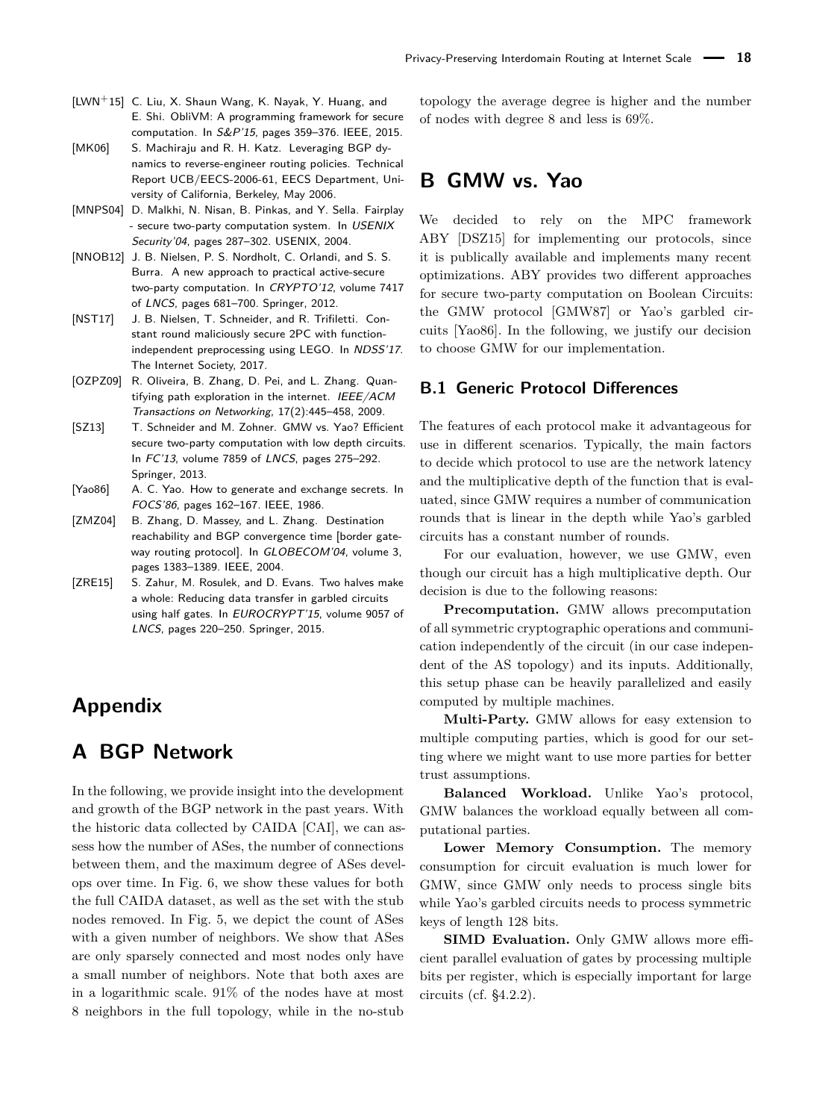- <span id="page-17-3"></span>[LWN+15] C. Liu, X. Shaun Wang, K. Nayak, Y. Huang, and E. Shi. ObliVM: A programming framework for secure computation. In S&P'15, pages 359–376. IEEE, 2015.
- <span id="page-17-0"></span>[MK06] S. Machiraju and R. H. Katz. Leveraging BGP dynamics to reverse-engineer routing policies. Technical Report UCB/EECS-2006-61, EECS Department, University of California, Berkeley, May 2006.
- <span id="page-17-5"></span>[MNPS04] D. Malkhi, N. Nisan, B. Pinkas, and Y. Sella. Fairplay - secure two-party computation system. In USENIX Security'04, pages 287–302. USENIX, 2004.
- <span id="page-17-9"></span>[NNOB12] J. B. Nielsen, P. S. Nordholt, C. Orlandi, and S. S. Burra. A new approach to practical active-secure two-party computation. In CRYPTO'12, volume 7417 of LNCS, pages 681–700. Springer, 2012.
- <span id="page-17-10"></span>[NST17] J. B. Nielsen, T. Schneider, and R. Trifiletti. Constant round maliciously secure 2PC with functionindependent preprocessing using LEGO. In NDSS'17. The Internet Society, 2017.
- <span id="page-17-2"></span>[OZPZ09] R. Oliveira, B. Zhang, D. Pei, and L. Zhang. Quantifying path exploration in the internet. IEEE/ACM Transactions on Networking, 17(2):445–458, 2009.
- <span id="page-17-7"></span>[SZ13] T. Schneider and M. Zohner. GMW vs. Yao? Efficient secure two-party computation with low depth circuits In FC'13, volume 7859 of LNCS, pages 275–292. Springer, 2013.
- <span id="page-17-4"></span>[Yao86] A. C. Yao. How to generate and exchange secrets. In FOCS'86, pages 162–167. IEEE, 1986.
- <span id="page-17-1"></span>[ZMZ04] B. Zhang, D. Massey, and L. Zhang. Destination reachability and BGP convergence time [border gateway routing protocol]. In GLOBECOM'04, volume 3, pages 1383–1389. IEEE, 2004.
- <span id="page-17-11"></span>[ZRE15] S. Zahur, M. Rosulek, and D. Evans. Two halves make a whole: Reducing data transfer in garbled circuits using half gates. In EUROCRYPT'15, volume 9057 of LNCS, pages 220–250. Springer, 2015.

## **Appendix**

## <span id="page-17-6"></span>**A BGP Network**

In the following, we provide insight into the development and growth of the BGP network in the past years. With the historic data collected by CAIDA [\[CAI\]](#page-16-24), we can assess how the number of ASes, the number of connections between them, and the maximum degree of ASes develops over time. In Fig. [6,](#page-18-0) we show these values for both the full CAIDA dataset, as well as the set with the stub nodes removed. In Fig. [5,](#page-18-1) we depict the count of ASes with a given number of neighbors. We show that ASes are only sparsely connected and most nodes only have a small number of neighbors. Note that both axes are in a logarithmic scale. 91% of the nodes have at most 8 neighbors in the full topology, while in the no-stub

topology the average degree is higher and the number of nodes with degree 8 and less is 69%.

## <span id="page-17-8"></span>**B GMW vs. Yao**

We decided to rely on the MPC framework ABY [\[DSZ15\]](#page-16-4) for implementing our protocols, since it is publically available and implements many recent optimizations. ABY provides two different approaches for secure two-party computation on Boolean Circuits: the GMW protocol [\[GMW87\]](#page-16-3) or Yao's garbled circuits [\[Yao86\]](#page-17-4). In the following, we justify our decision to choose GMW for our implementation.

## **B.1 Generic Protocol Differences**

The features of each protocol make it advantageous for use in different scenarios. Typically, the main factors to decide which protocol to use are the network latency and the multiplicative depth of the function that is evaluated, since GMW requires a number of communication rounds that is linear in the depth while Yao's garbled circuits has a constant number of rounds.

For our evaluation, however, we use GMW, even though our circuit has a high multiplicative depth. Our decision is due to the following reasons:

**Precomputation.** GMW allows precomputation of all symmetric cryptographic operations and communication independently of the circuit (in our case independent of the AS topology) and its inputs. Additionally, this setup phase can be heavily parallelized and easily computed by multiple machines.

**Multi-Party.** GMW allows for easy extension to multiple computing parties, which is good for our setting where we might want to use more parties for better trust assumptions.

**Balanced Workload.** Unlike Yao's protocol, GMW balances the workload equally between all computational parties.

**Lower Memory Consumption.** The memory consumption for circuit evaluation is much lower for GMW, since GMW only needs to process single bits while Yao's garbled circuits needs to process symmetric keys of length 128 bits.

**SIMD Evaluation.** Only GMW allows more efficient parallel evaluation of gates by processing multiple bits per register, which is especially important for large circuits (cf. [§4.2.2\)](#page-10-2).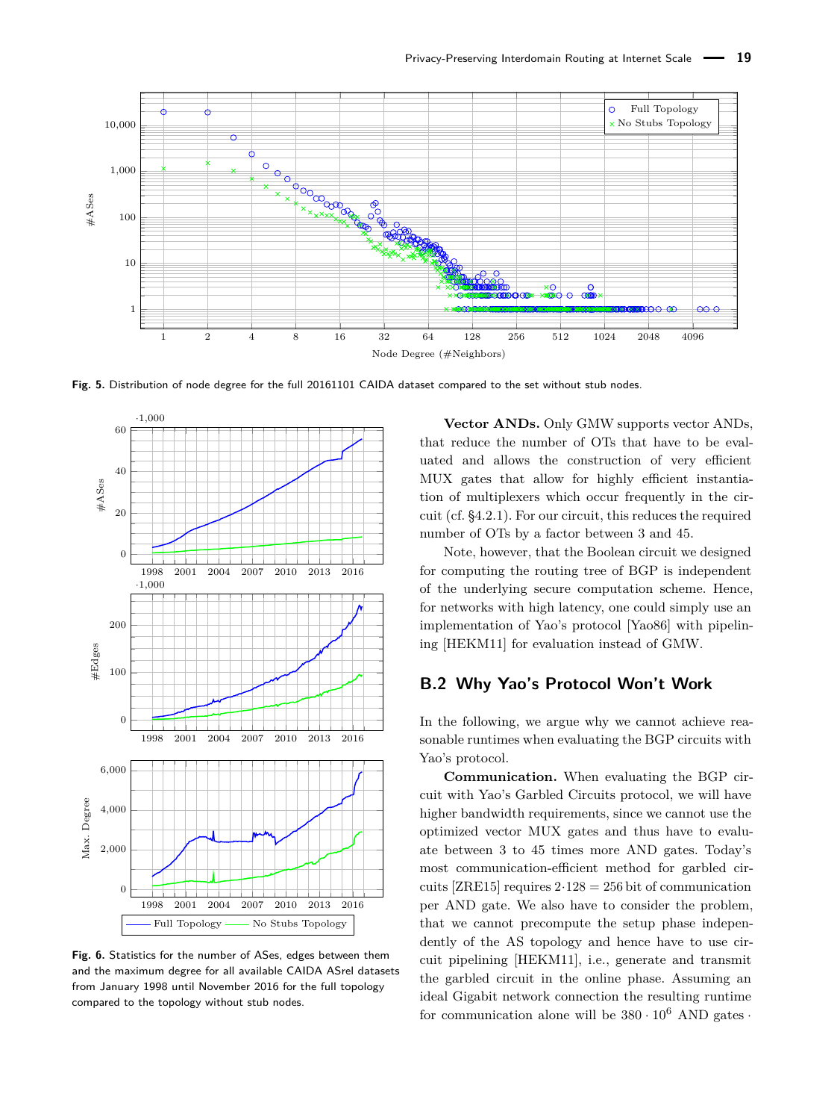<span id="page-18-1"></span>

**Fig. 5.** Distribution of node degree for the full 20161101 CAIDA dataset compared to the set without stub nodes.

<span id="page-18-0"></span>

**Fig. 6.** Statistics for the number of ASes, edges between them and the maximum degree for all available CAIDA ASrel datasets from January 1998 until November 2016 for the full topology compared to the topology without stub nodes.

**Vector ANDs.** Only GMW supports vector ANDs, that reduce the number of OTs that have to be evaluated and allows the construction of very efficient MUX gates that allow for highly efficient instantiation of multiplexers which occur frequently in the circuit (cf. [§4.2.1\)](#page-10-0). For our circuit, this reduces the required number of OTs by a factor between 3 and 45.

Note, however, that the Boolean circuit we designed for computing the routing tree of BGP is independent of the underlying secure computation scheme. Hence, for networks with high latency, one could simply use an implementation of Yao's protocol [\[Yao86\]](#page-17-4) with pipelining [\[HEKM11\]](#page-16-17) for evaluation instead of GMW.

## **B.2 Why Yao's Protocol Won't Work**

In the following, we argue why we cannot achieve reasonable runtimes when evaluating the BGP circuits with Yao's protocol.

**Communication.** When evaluating the BGP circuit with Yao's Garbled Circuits protocol, we will have higher bandwidth requirements, since we cannot use the optimized vector MUX gates and thus have to evaluate between 3 to 45 times more AND gates. Today's most communication-efficient method for garbled cir-cuits [\[ZRE15\]](#page-17-11) requires  $2.128 = 256$  bit of communication per AND gate. We also have to consider the problem, that we cannot precompute the setup phase independently of the AS topology and hence have to use circuit pipelining [\[HEKM11\]](#page-16-17), i.e., generate and transmit the garbled circuit in the online phase. Assuming an ideal Gigabit network connection the resulting runtime for communication alone will be  $380 \cdot 10^6$  AND gates  $\cdot$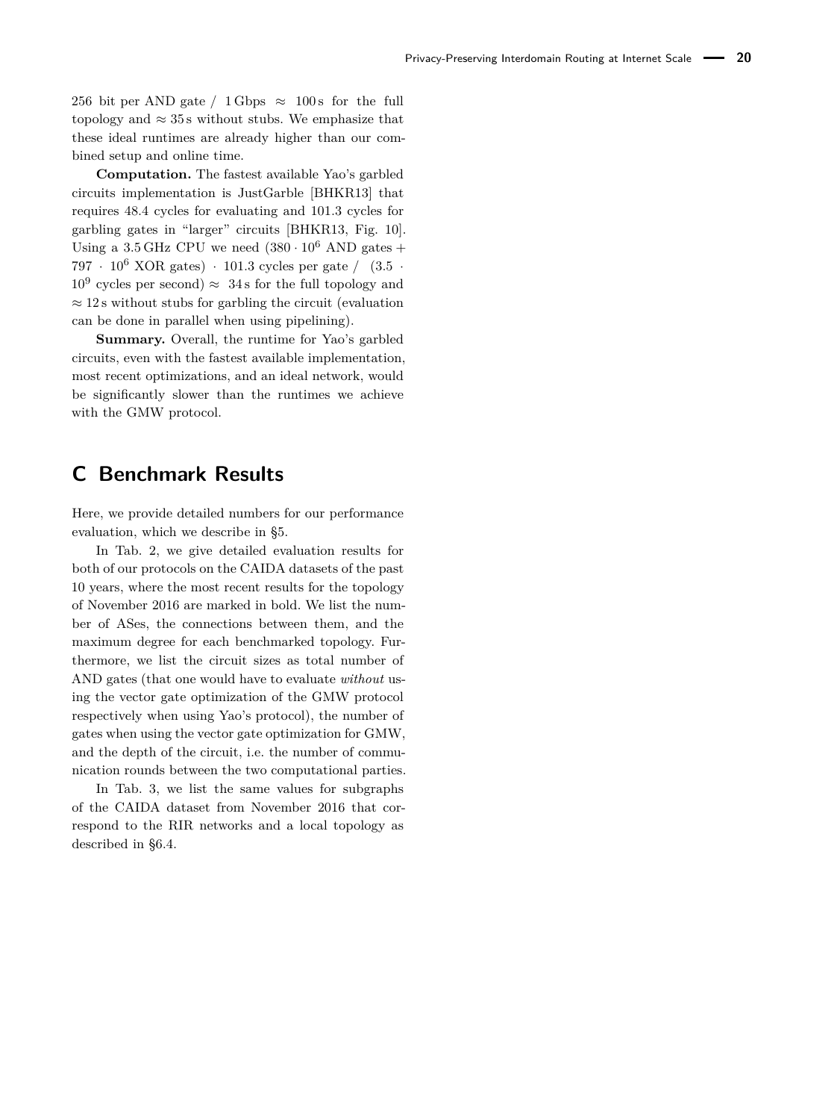256 bit per AND gate / 1 Gbps  $\approx$  100 s for the full topology and  $\approx$  35s without stubs. We emphasize that these ideal runtimes are already higher than our combined setup and online time.

**Computation.** The fastest available Yao's garbled circuits implementation is JustGarble [\[BHKR13\]](#page-16-32) that requires 48*.*4 cycles for evaluating and 101*.*3 cycles for garbling gates in "larger" circuits [\[BHKR13,](#page-16-32) Fig. 10]. Using a 3.5 GHz CPU we need  $(380 \cdot 10^6 \text{ AND gates} +$ 797 · 10<sup>6</sup> XOR gates) · 101*.*3 cycles per gate */* (3*.*5 ·  $10^9$  cycles per second)  $\approx$  34s for the full topology and  $\approx$  12 s without stubs for garbling the circuit (evaluation can be done in parallel when using pipelining).

**Summary.** Overall, the runtime for Yao's garbled circuits, even with the fastest available implementation, most recent optimizations, and an ideal network, would be significantly slower than the runtimes we achieve with the GMW protocol.

## <span id="page-19-0"></span>**C Benchmark Results**

Here, we provide detailed numbers for our performance evaluation, which we describe in [§5.](#page-12-0)

In Tab. [2,](#page-20-1) we give detailed evaluation results for both of our protocols on the CAIDA datasets of the past 10 years, where the most recent results for the topology of November 2016 are marked in bold. We list the number of ASes, the connections between them, and the maximum degree for each benchmarked topology. Furthermore, we list the circuit sizes as total number of AND gates (that one would have to evaluate *without* using the vector gate optimization of the GMW protocol respectively when using Yao's protocol), the number of gates when using the vector gate optimization for GMW, and the depth of the circuit, i.e. the number of communication rounds between the two computational parties.

In Tab. [3,](#page-20-2) we list the same values for subgraphs of the CAIDA dataset from November 2016 that correspond to the RIR networks and a local topology as described in [§6.4.](#page-14-2)